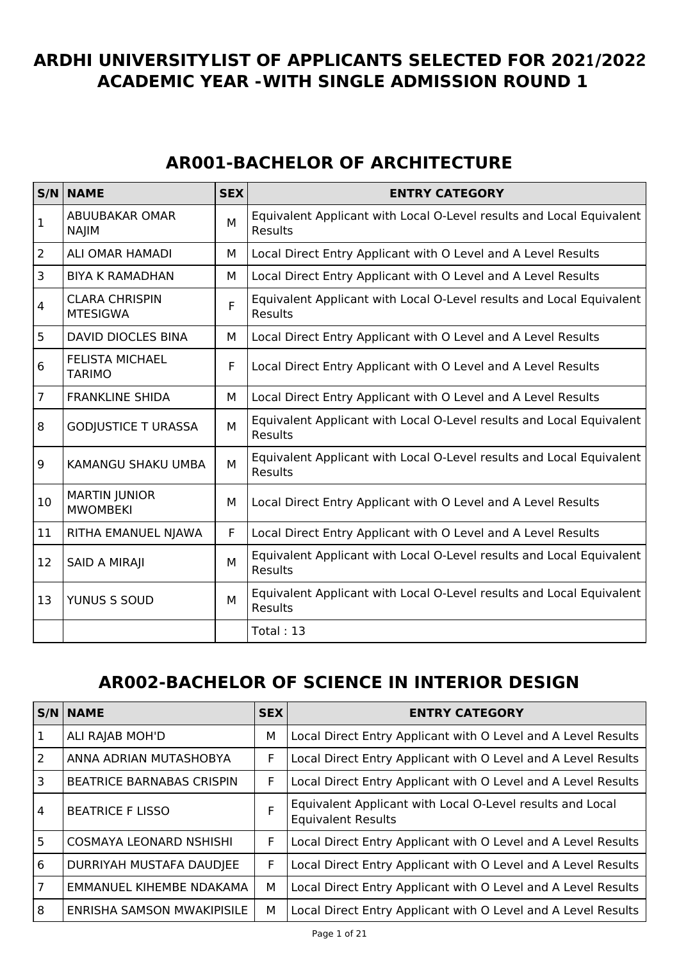## **ARDHI UNIVERSITYLIST OF APPLICANTS SELECTED FOR 2021/2022 ACADEMIC YEAR -WITH SINGLE ADMISSION ROUND 1**

## **AR001-BACHELOR OF ARCHITECTURE**

|                 | S/N NAME                                 | <b>SEX</b> | <b>ENTRY CATEGORY</b>                                                                  |
|-----------------|------------------------------------------|------------|----------------------------------------------------------------------------------------|
| $\mathbf{1}$    | ABUUBAKAR OMAR<br><b>NAJIM</b>           | M          | Equivalent Applicant with Local O-Level results and Local Equivalent<br>Results        |
| $\overline{2}$  | <b>ALI OMAR HAMADI</b>                   | м          | Local Direct Entry Applicant with O Level and A Level Results                          |
| $\overline{3}$  | <b>BIYA K RAMADHAN</b>                   | М          | Local Direct Entry Applicant with O Level and A Level Results                          |
| $\overline{4}$  | <b>CLARA CHRISPIN</b><br><b>MTESIGWA</b> | F          | Equivalent Applicant with Local O-Level results and Local Equivalent<br><b>Results</b> |
| 5               | DAVID DIOCLES BINA                       | м          | Local Direct Entry Applicant with O Level and A Level Results                          |
| $6\phantom{1}6$ | <b>FELISTA MICHAEL</b><br><b>TARIMO</b>  | F          | Local Direct Entry Applicant with O Level and A Level Results                          |
| $\overline{7}$  | <b>FRANKLINE SHIDA</b>                   | м          | Local Direct Entry Applicant with O Level and A Level Results                          |
| 8               | <b>GODJUSTICE T URASSA</b>               | M          | Equivalent Applicant with Local O-Level results and Local Equivalent<br><b>Results</b> |
| 9               | KAMANGU SHAKU UMBA                       | M          | Equivalent Applicant with Local O-Level results and Local Equivalent<br><b>Results</b> |
| 10              | <b>MARTIN JUNIOR</b><br><b>MWOMBEKI</b>  | M          | Local Direct Entry Applicant with O Level and A Level Results                          |
| 11              | RITHA EMANUEL NJAWA                      | F          | Local Direct Entry Applicant with O Level and A Level Results                          |
| 12              | <b>SAID A MIRAJI</b>                     | M          | Equivalent Applicant with Local O-Level results and Local Equivalent<br><b>Results</b> |
| 13              | YUNUS S SOUD                             | M          | Equivalent Applicant with Local O-Level results and Local Equivalent<br>Results        |
|                 |                                          |            | Total: 13                                                                              |

### **AR002-BACHELOR OF SCIENCE IN INTERIOR DESIGN**

|                | <b>S/N NAME</b>                  | <b>SEX</b> | <b>ENTRY CATEGORY</b>                                                                  |
|----------------|----------------------------------|------------|----------------------------------------------------------------------------------------|
| $\overline{1}$ | ALI RAJAB MOH'D                  | м          | Local Direct Entry Applicant with O Level and A Level Results                          |
| $\overline{2}$ | ANNA ADRIAN MUTASHOBYA           | F.         | Local Direct Entry Applicant with O Level and A Level Results                          |
| <sup>3</sup>   | <b>BEATRICE BARNABAS CRISPIN</b> | F          | Local Direct Entry Applicant with O Level and A Level Results                          |
| $\overline{4}$ | <b>BEATRICE F LISSO</b>          | F          | Equivalent Applicant with Local O-Level results and Local<br><b>Equivalent Results</b> |
| 5              | <b>COSMAYA LEONARD NSHISHI</b>   | F          | Local Direct Entry Applicant with O Level and A Level Results                          |
| 6              | DURRIYAH MUSTAFA DAUDJEE         | F          | Local Direct Entry Applicant with O Level and A Level Results                          |
| $\overline{7}$ | EMMANUEL KIHEMBE NDAKAMA         | м          | Local Direct Entry Applicant with O Level and A Level Results                          |
| $\overline{8}$ | ENRISHA SAMSON MWAKIPISILE       | м          | Local Direct Entry Applicant with O Level and A Level Results                          |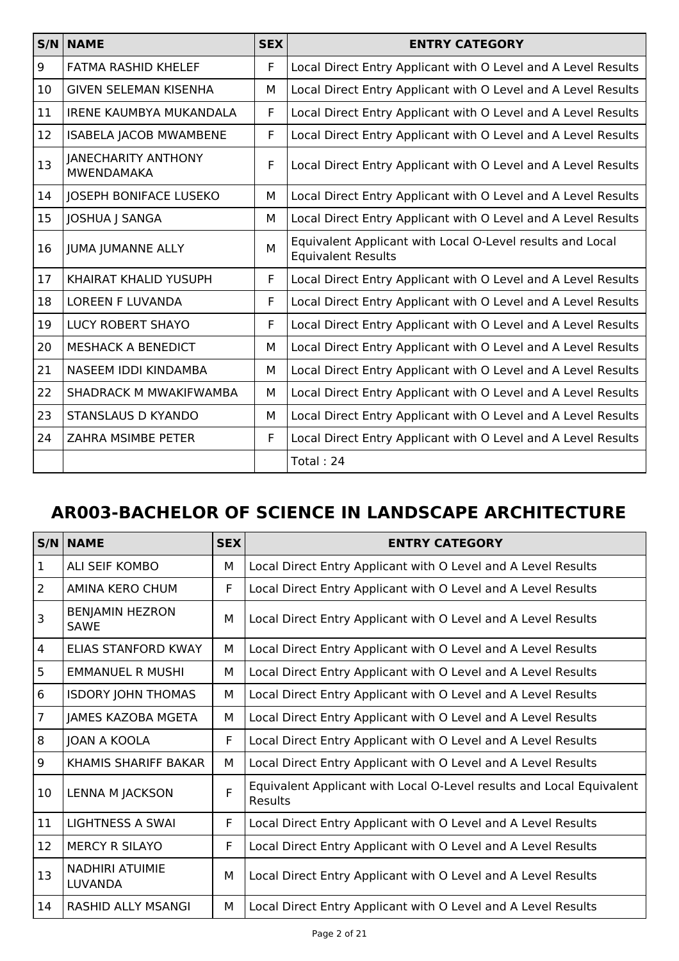|    | <b>S/N NAME</b>                                 | <b>SEX</b> | <b>ENTRY CATEGORY</b>                                                                  |
|----|-------------------------------------------------|------------|----------------------------------------------------------------------------------------|
| 9  | <b>FATMA RASHID KHELEF</b>                      | F          | Local Direct Entry Applicant with O Level and A Level Results                          |
| 10 | <b>GIVEN SELEMAN KISENHA</b>                    | М          | Local Direct Entry Applicant with O Level and A Level Results                          |
| 11 | <b>IRENE KAUMBYA MUKANDALA</b>                  | F          | Local Direct Entry Applicant with O Level and A Level Results                          |
| 12 | <b>ISABELA JACOB MWAMBENE</b>                   | F          | Local Direct Entry Applicant with O Level and A Level Results                          |
| 13 | <b>JANECHARITY ANTHONY</b><br><b>MWENDAMAKA</b> | F          | Local Direct Entry Applicant with O Level and A Level Results                          |
| 14 | <b>JOSEPH BONIFACE LUSEKO</b>                   | м          | Local Direct Entry Applicant with O Level and A Level Results                          |
| 15 | JOSHUA J SANGA                                  | М          | Local Direct Entry Applicant with O Level and A Level Results                          |
| 16 | <b>JUMA JUMANNE ALLY</b>                        | M          | Equivalent Applicant with Local O-Level results and Local<br><b>Equivalent Results</b> |
| 17 | KHAIRAT KHALID YUSUPH                           | F          | Local Direct Entry Applicant with O Level and A Level Results                          |
| 18 | <b>LOREEN F LUVANDA</b>                         | F          | Local Direct Entry Applicant with O Level and A Level Results                          |
| 19 | <b>LUCY ROBERT SHAYO</b>                        | F          | Local Direct Entry Applicant with O Level and A Level Results                          |
| 20 | <b>MESHACK A BENEDICT</b>                       | м          | Local Direct Entry Applicant with O Level and A Level Results                          |
| 21 | NASEEM IDDI KINDAMBA                            | м          | Local Direct Entry Applicant with O Level and A Level Results                          |
| 22 | SHADRACK M MWAKIFWAMBA                          | М          | Local Direct Entry Applicant with O Level and A Level Results                          |
| 23 | <b>STANSLAUS D KYANDO</b>                       | м          | Local Direct Entry Applicant with O Level and A Level Results                          |
| 24 | ZAHRA MSIMBE PETER                              | F          | Local Direct Entry Applicant with O Level and A Level Results                          |
|    |                                                 |            | Total: 24                                                                              |

# **AR003-BACHELOR OF SCIENCE IN LANDSCAPE ARCHITECTURE**

| S/N            | <b>NAME</b>                              | <b>SEX</b> | <b>ENTRY CATEGORY</b>                                                           |
|----------------|------------------------------------------|------------|---------------------------------------------------------------------------------|
| $\mathbf{1}$   | ALI SEIF KOMBO                           | м          | Local Direct Entry Applicant with O Level and A Level Results                   |
| $\overline{2}$ | AMINA KERO CHUM                          | F          | Local Direct Entry Applicant with O Level and A Level Results                   |
| 3              | <b>BENJAMIN HEZRON</b><br><b>SAWE</b>    | м          | Local Direct Entry Applicant with O Level and A Level Results                   |
| $\overline{4}$ | ELIAS STANFORD KWAY                      | М          | Local Direct Entry Applicant with O Level and A Level Results                   |
| 5              | <b>EMMANUEL R MUSHI</b>                  | м          | Local Direct Entry Applicant with O Level and A Level Results                   |
| 6              | <b>ISDORY JOHN THOMAS</b>                | М          | Local Direct Entry Applicant with O Level and A Level Results                   |
| $\overline{7}$ | JAMES KAZOBA MGETA                       | м          | Local Direct Entry Applicant with O Level and A Level Results                   |
| 8              | JOAN A KOOLA                             | F.         | Local Direct Entry Applicant with O Level and A Level Results                   |
| 9              | KHAMIS SHARIFF BAKAR                     | м          | Local Direct Entry Applicant with O Level and A Level Results                   |
| 10             | <b>LENNA M JACKSON</b>                   | F          | Equivalent Applicant with Local O-Level results and Local Equivalent<br>Results |
| 11             | <b>LIGHTNESS A SWAI</b>                  | F.         | Local Direct Entry Applicant with O Level and A Level Results                   |
| 12             | <b>MERCY R SILAYO</b>                    | F          | Local Direct Entry Applicant with O Level and A Level Results                   |
| 13             | <b>NADHIRI ATUIMIE</b><br><b>LUVANDA</b> | м          | Local Direct Entry Applicant with O Level and A Level Results                   |
| 14             | <b>RASHID ALLY MSANGI</b>                | м          | Local Direct Entry Applicant with O Level and A Level Results                   |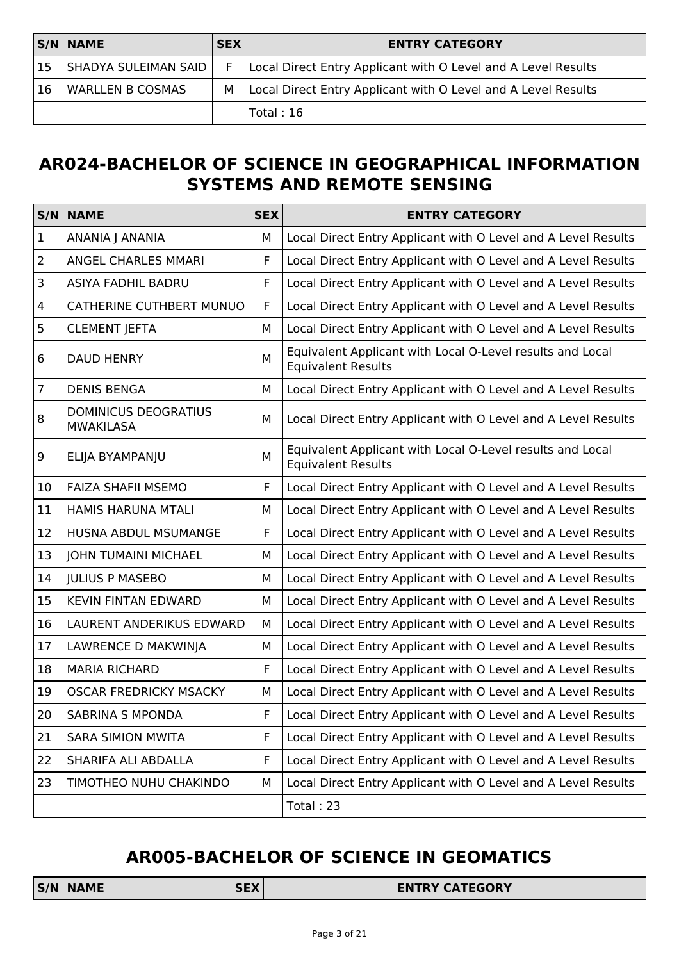|           | <b>S/N NAME</b>         | <b>SEX</b> | <b>ENTRY CATEGORY</b>                                         |
|-----------|-------------------------|------------|---------------------------------------------------------------|
| <b>15</b> | SHADYA SULEIMAN SAID    | F.         | Local Direct Entry Applicant with O Level and A Level Results |
| 16        | <b>WARLLEN B COSMAS</b> | м          | Local Direct Entry Applicant with O Level and A Level Results |
|           |                         |            | Total:16                                                      |

## **AR024-BACHELOR OF SCIENCE IN GEOGRAPHICAL INFORMATION SYSTEMS AND REMOTE SENSING**

|                         | <b>S/N NAME</b>                                 | <b>SEX</b>  | <b>ENTRY CATEGORY</b>                                                                  |
|-------------------------|-------------------------------------------------|-------------|----------------------------------------------------------------------------------------|
| $\mathbf{1}$            | ANANIA J ANANIA                                 | M           | Local Direct Entry Applicant with O Level and A Level Results                          |
| $\overline{2}$          | ANGEL CHARLES MMARI                             | F           | Local Direct Entry Applicant with O Level and A Level Results                          |
| 3                       | ASIYA FADHIL BADRU                              | $\mathsf F$ | Local Direct Entry Applicant with O Level and A Level Results                          |
| $\overline{\mathbf{4}}$ | <b>CATHERINE CUTHBERT MUNUO</b>                 | $\mathsf F$ | Local Direct Entry Applicant with O Level and A Level Results                          |
| 5                       | <b>CLEMENT JEFTA</b>                            | M           | Local Direct Entry Applicant with O Level and A Level Results                          |
| 6                       | <b>DAUD HENRY</b>                               | M           | Equivalent Applicant with Local O-Level results and Local<br><b>Equivalent Results</b> |
| $\overline{7}$          | <b>DENIS BENGA</b>                              | M           | Local Direct Entry Applicant with O Level and A Level Results                          |
| 8                       | <b>DOMINICUS DEOGRATIUS</b><br><b>MWAKILASA</b> | M           | Local Direct Entry Applicant with O Level and A Level Results                          |
| 9                       | ELIJA BYAMPANJU                                 | M           | Equivalent Applicant with Local O-Level results and Local<br><b>Equivalent Results</b> |
| 10                      | <b>FAIZA SHAFII MSEMO</b>                       | F           | Local Direct Entry Applicant with O Level and A Level Results                          |
| 11                      | <b>HAMIS HARUNA MTALI</b>                       | M           | Local Direct Entry Applicant with O Level and A Level Results                          |
| 12                      | <b>HUSNA ABDUL MSUMANGE</b>                     | F           | Local Direct Entry Applicant with O Level and A Level Results                          |
| 13                      | <b>JOHN TUMAINI MICHAEL</b>                     | M           | Local Direct Entry Applicant with O Level and A Level Results                          |
| 14                      | <b>JULIUS P MASEBO</b>                          | M           | Local Direct Entry Applicant with O Level and A Level Results                          |
| 15                      | <b>KEVIN FINTAN EDWARD</b>                      | M           | Local Direct Entry Applicant with O Level and A Level Results                          |
| 16                      | LAURENT ANDERIKUS EDWARD                        | М           | Local Direct Entry Applicant with O Level and A Level Results                          |
| 17                      | LAWRENCE D MAKWINJA                             | M           | Local Direct Entry Applicant with O Level and A Level Results                          |
| 18                      | <b>MARIA RICHARD</b>                            | F           | Local Direct Entry Applicant with O Level and A Level Results                          |
| 19                      | <b>OSCAR FREDRICKY MSACKY</b>                   | M           | Local Direct Entry Applicant with O Level and A Level Results                          |
| 20                      | SABRINA S MPONDA                                | F           | Local Direct Entry Applicant with O Level and A Level Results                          |
| 21                      | <b>SARA SIMION MWITA</b>                        | $\mathsf F$ | Local Direct Entry Applicant with O Level and A Level Results                          |
| 22                      | SHARIFA ALI ABDALLA                             | F           | Local Direct Entry Applicant with O Level and A Level Results                          |
| 23                      | TIMOTHEO NUHU CHAKINDO                          | М           | Local Direct Entry Applicant with O Level and A Level Results                          |
|                         |                                                 |             | Total: 23                                                                              |

# **AR005-BACHELOR OF SCIENCE IN GEOMATICS**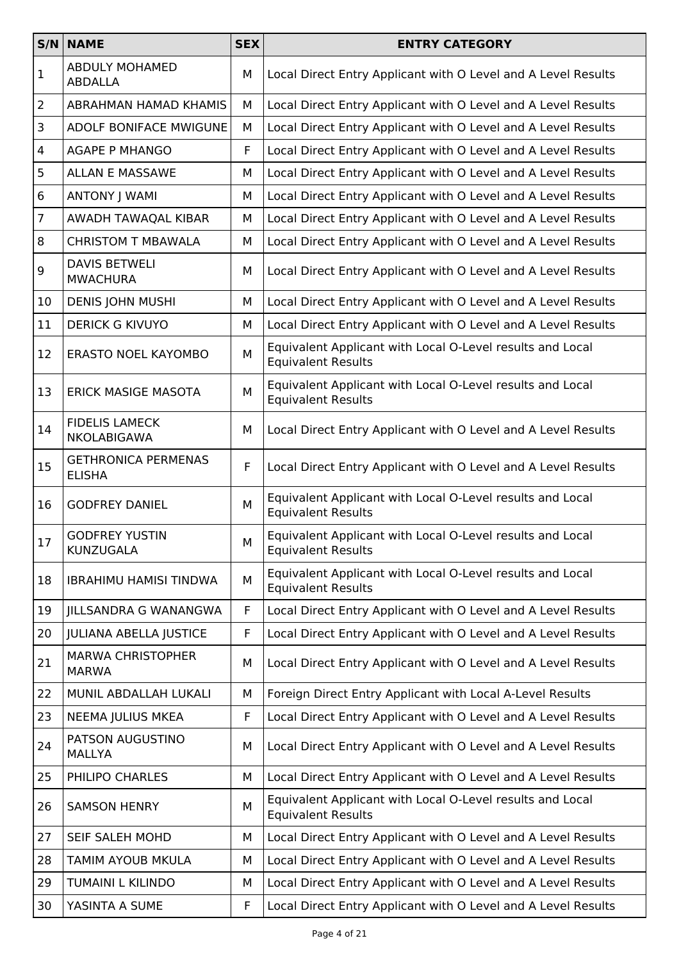|                | S/N NAME                                    | <b>SEX</b> | <b>ENTRY CATEGORY</b>                                                                  |
|----------------|---------------------------------------------|------------|----------------------------------------------------------------------------------------|
| $\mathbf 1$    | <b>ABDULY MOHAMED</b><br><b>ABDALLA</b>     | М          | Local Direct Entry Applicant with O Level and A Level Results                          |
| $\overline{2}$ | <b>ABRAHMAN HAMAD KHAMIS</b>                | M          | Local Direct Entry Applicant with O Level and A Level Results                          |
| 3              | <b>ADOLF BONIFACE MWIGUNE</b>               | М          | Local Direct Entry Applicant with O Level and A Level Results                          |
| 4              | <b>AGAPE P MHANGO</b>                       | F          | Local Direct Entry Applicant with O Level and A Level Results                          |
| 5              | ALLAN E MASSAWE                             | М          | Local Direct Entry Applicant with O Level and A Level Results                          |
| 6              | <b>ANTONY   WAMI</b>                        | М          | Local Direct Entry Applicant with O Level and A Level Results                          |
| $\overline{7}$ | AWADH TAWAQAL KIBAR                         | М          | Local Direct Entry Applicant with O Level and A Level Results                          |
| 8              | <b>CHRISTOM T MBAWALA</b>                   | М          | Local Direct Entry Applicant with O Level and A Level Results                          |
| 9              | <b>DAVIS BETWELI</b><br><b>MWACHURA</b>     | М          | Local Direct Entry Applicant with O Level and A Level Results                          |
| 10             | <b>DENIS JOHN MUSHI</b>                     | М          | Local Direct Entry Applicant with O Level and A Level Results                          |
| 11             | <b>DERICK G KIVUYO</b>                      | м          | Local Direct Entry Applicant with O Level and A Level Results                          |
| 12             | <b>ERASTO NOEL KAYOMBO</b>                  | М          | Equivalent Applicant with Local O-Level results and Local<br><b>Equivalent Results</b> |
| 13             | <b>ERICK MASIGE MASOTA</b>                  | M          | Equivalent Applicant with Local O-Level results and Local<br><b>Equivalent Results</b> |
| 14             | <b>FIDELIS LAMECK</b><br>NKOLABIGAWA        | м          | Local Direct Entry Applicant with O Level and A Level Results                          |
| 15             | <b>GETHRONICA PERMENAS</b><br><b>ELISHA</b> | F          | Local Direct Entry Applicant with O Level and A Level Results                          |
| 16             | <b>GODFREY DANIEL</b>                       | M          | Equivalent Applicant with Local O-Level results and Local<br><b>Equivalent Results</b> |
| 17             | <b>GODFREY YUSTIN</b><br><b>KUNZUGALA</b>   | М          | Equivalent Applicant with Local O-Level results and Local<br><b>Equivalent Results</b> |
| 18             | <b>IBRAHIMU HAMISI TINDWA</b>               | М          | Equivalent Applicant with Local O-Level results and Local<br><b>Equivalent Results</b> |
| 19             | JILLSANDRA G WANANGWA                       | F          | Local Direct Entry Applicant with O Level and A Level Results                          |
| 20             | <b>JULIANA ABELLA JUSTICE</b>               | F          | Local Direct Entry Applicant with O Level and A Level Results                          |
| 21             | <b>MARWA CHRISTOPHER</b><br><b>MARWA</b>    | М          | Local Direct Entry Applicant with O Level and A Level Results                          |
| 22             | MUNIL ABDALLAH LUKALI                       | М          | Foreign Direct Entry Applicant with Local A-Level Results                              |
| 23             | NEEMA JULIUS MKEA                           | F          | Local Direct Entry Applicant with O Level and A Level Results                          |
| 24             | PATSON AUGUSTINO<br><b>MALLYA</b>           | М          | Local Direct Entry Applicant with O Level and A Level Results                          |
| 25             | PHILIPO CHARLES                             | М          | Local Direct Entry Applicant with O Level and A Level Results                          |
| 26             | <b>SAMSON HENRY</b>                         | М          | Equivalent Applicant with Local O-Level results and Local<br><b>Equivalent Results</b> |
| 27             | SEIF SALEH MOHD                             | М          | Local Direct Entry Applicant with O Level and A Level Results                          |
| 28             | TAMIM AYOUB MKULA                           | М          | Local Direct Entry Applicant with O Level and A Level Results                          |
| 29             | TUMAINI L KILINDO                           | М          | Local Direct Entry Applicant with O Level and A Level Results                          |
| 30             | YASINTA A SUME                              | F          | Local Direct Entry Applicant with O Level and A Level Results                          |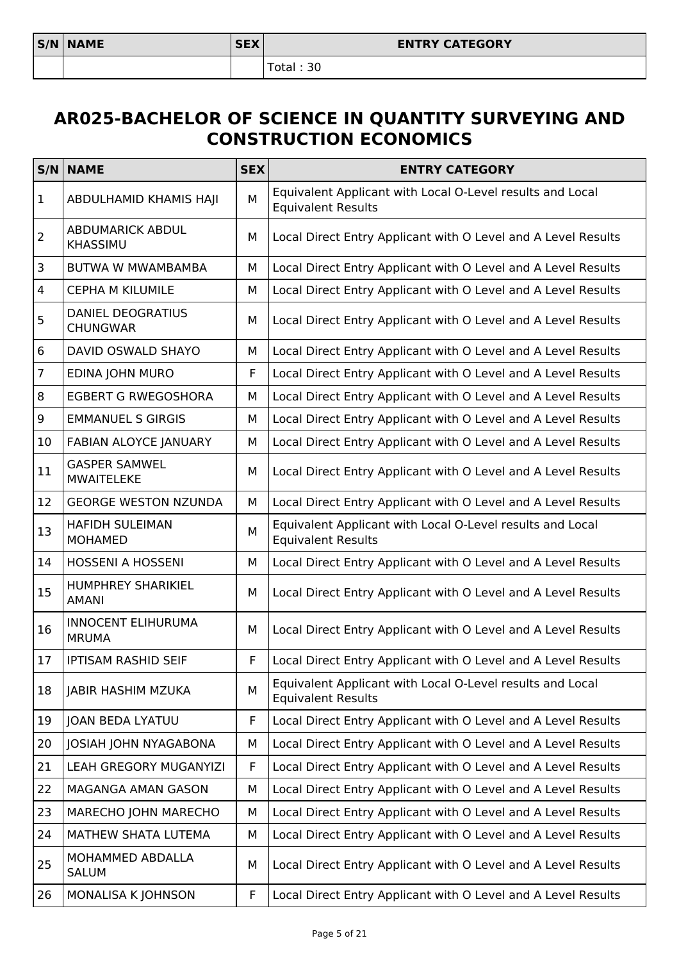Total : 30

#### **AR025-BACHELOR OF SCIENCE IN QUANTITY SURVEYING AND CONSTRUCTION ECONOMICS**

|                         | <b>S/N NAME</b>                             | <b>SEX</b> | <b>ENTRY CATEGORY</b>                                                                  |
|-------------------------|---------------------------------------------|------------|----------------------------------------------------------------------------------------|
| $\vert$ 1               | ABDULHAMID KHAMIS HAJI                      | M          | Equivalent Applicant with Local O-Level results and Local<br><b>Equivalent Results</b> |
| 2                       | <b>ABDUMARICK ABDUL</b><br><b>KHASSIMU</b>  | M          | Local Direct Entry Applicant with O Level and A Level Results                          |
| $\overline{\mathbf{3}}$ | <b>BUTWA W MWAMBAMBA</b>                    | М          | Local Direct Entry Applicant with O Level and A Level Results                          |
| $\overline{4}$          | <b>CEPHA M KILUMILE</b>                     | М          | Local Direct Entry Applicant with O Level and A Level Results                          |
| 5                       | <b>DANIEL DEOGRATIUS</b><br><b>CHUNGWAR</b> | M          | Local Direct Entry Applicant with O Level and A Level Results                          |
| $\,6\,$                 | DAVID OSWALD SHAYO                          | М          | Local Direct Entry Applicant with O Level and A Level Results                          |
| $\overline{7}$          | EDINA JOHN MURO                             | F          | Local Direct Entry Applicant with O Level and A Level Results                          |
| 8                       | <b>EGBERT G RWEGOSHORA</b>                  | М          | Local Direct Entry Applicant with O Level and A Level Results                          |
| $\boldsymbol{9}$        | <b>EMMANUEL S GIRGIS</b>                    | М          | Local Direct Entry Applicant with O Level and A Level Results                          |
| 10                      | <b>FABIAN ALOYCE JANUARY</b>                | М          | Local Direct Entry Applicant with O Level and A Level Results                          |
| 11                      | <b>GASPER SAMWEL</b><br><b>MWAITELEKE</b>   | M          | Local Direct Entry Applicant with O Level and A Level Results                          |
| 12                      | <b>GEORGE WESTON NZUNDA</b>                 | М          | Local Direct Entry Applicant with O Level and A Level Results                          |
| 13                      | <b>HAFIDH SULEIMAN</b><br><b>MOHAMED</b>    | M          | Equivalent Applicant with Local O-Level results and Local<br><b>Equivalent Results</b> |
| 14                      | <b>HOSSENI A HOSSENI</b>                    | М          | Local Direct Entry Applicant with O Level and A Level Results                          |
| 15                      | <b>HUMPHREY SHARIKIEL</b><br><b>AMANI</b>   | М          | Local Direct Entry Applicant with O Level and A Level Results                          |
| 16                      | <b>INNOCENT ELIHURUMA</b><br><b>MRUMA</b>   | М          | Local Direct Entry Applicant with O Level and A Level Results                          |
| 17                      | <b>IPTISAM RASHID SEIF</b>                  | F          | Local Direct Entry Applicant with O Level and A Level Results                          |
| 18                      | <b>JABIR HASHIM MZUKA</b>                   | M          | Equivalent Applicant with Local O-Level results and Local<br><b>Equivalent Results</b> |
| 19                      | <b>JOAN BEDA LYATUU</b>                     | F          | Local Direct Entry Applicant with O Level and A Level Results                          |
| 20                      | JOSIAH JOHN NYAGABONA                       | М          | Local Direct Entry Applicant with O Level and A Level Results                          |
| 21                      | <b>LEAH GREGORY MUGANYIZI</b>               | F          | Local Direct Entry Applicant with O Level and A Level Results                          |
| 22                      | MAGANGA AMAN GASON                          | М          | Local Direct Entry Applicant with O Level and A Level Results                          |
| 23                      | MARECHO JOHN MARECHO                        | М          | Local Direct Entry Applicant with O Level and A Level Results                          |
| 24                      | MATHEW SHATA LUTEMA                         | М          | Local Direct Entry Applicant with O Level and A Level Results                          |
| 25                      | MOHAMMED ABDALLA<br><b>SALUM</b>            | М          | Local Direct Entry Applicant with O Level and A Level Results                          |
| 26                      | MONALISA K JOHNSON                          | F          | Local Direct Entry Applicant with O Level and A Level Results                          |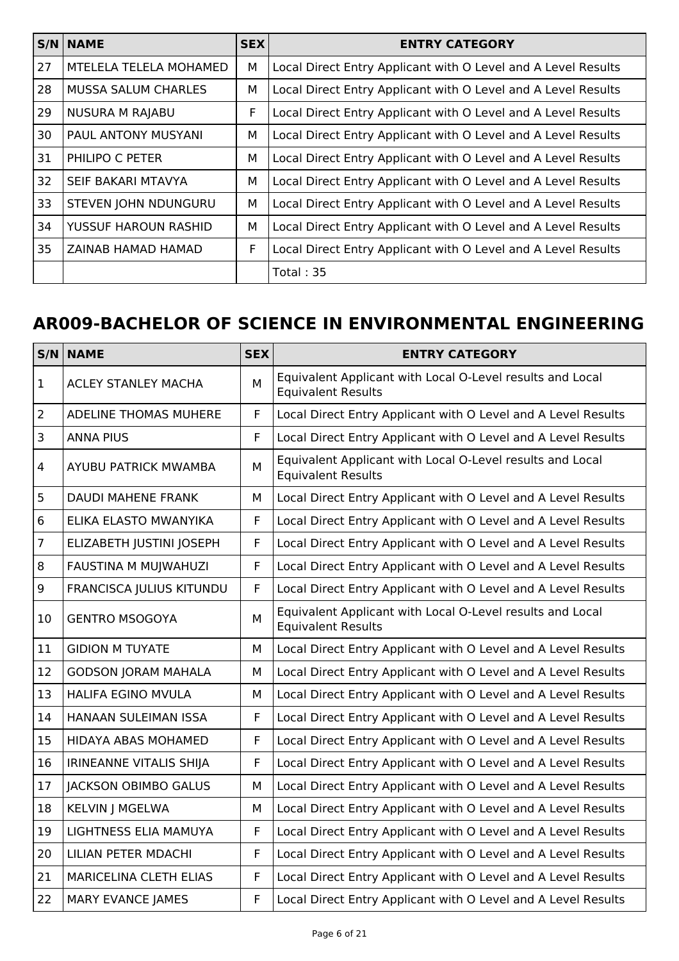|    | <b>S/N NAME</b>             | <b>SEX</b> | <b>ENTRY CATEGORY</b>                                         |
|----|-----------------------------|------------|---------------------------------------------------------------|
| 27 | MTELELA TELELA MOHAMED      | М          | Local Direct Entry Applicant with O Level and A Level Results |
| 28 | <b>MUSSA SALUM CHARLES</b>  | М          | Local Direct Entry Applicant with O Level and A Level Results |
| 29 | <b>NUSURA M RAJABU</b>      | F          | Local Direct Entry Applicant with O Level and A Level Results |
| 30 | PAUL ANTONY MUSYANI         | м          | Local Direct Entry Applicant with O Level and A Level Results |
| 31 | PHILIPO C PETER             | м          | Local Direct Entry Applicant with O Level and A Level Results |
| 32 | SEIF BAKARI MTAVYA          | М          | Local Direct Entry Applicant with O Level and A Level Results |
| 33 | <b>STEVEN JOHN NDUNGURU</b> | М          | Local Direct Entry Applicant with O Level and A Level Results |
| 34 | YUSSUF HAROUN RASHID        | М          | Local Direct Entry Applicant with O Level and A Level Results |
| 35 | ZAINAB HAMAD HAMAD          | F          | Local Direct Entry Applicant with O Level and A Level Results |
|    |                             |            | Total: $35$                                                   |

# **AR009-BACHELOR OF SCIENCE IN ENVIRONMENTAL ENGINEERING**

| S/N            | <b>NAME</b>                     | <b>SEX</b> | <b>ENTRY CATEGORY</b>                                                                  |
|----------------|---------------------------------|------------|----------------------------------------------------------------------------------------|
| $\mathbf{1}$   | <b>ACLEY STANLEY MACHA</b>      | M          | Equivalent Applicant with Local O-Level results and Local<br><b>Equivalent Results</b> |
| $\overline{2}$ | <b>ADELINE THOMAS MUHERE</b>    | F          | Local Direct Entry Applicant with O Level and A Level Results                          |
| $\mathsf 3$    | <b>ANNA PIUS</b>                | F          | Local Direct Entry Applicant with O Level and A Level Results                          |
| $\overline{4}$ | <b>AYUBU PATRICK MWAMBA</b>     | M          | Equivalent Applicant with Local O-Level results and Local<br><b>Equivalent Results</b> |
| 5              | <b>DAUDI MAHENE FRANK</b>       | м          | Local Direct Entry Applicant with O Level and A Level Results                          |
| $\,6\,$        | ELIKA ELASTO MWANYIKA           | F          | Local Direct Entry Applicant with O Level and A Level Results                          |
| $\overline{7}$ | ELIZABETH JUSTINI JOSEPH        | F          | Local Direct Entry Applicant with O Level and A Level Results                          |
| 8              | FAUSTINA M MUJWAHUZI            | F          | Local Direct Entry Applicant with O Level and A Level Results                          |
| 9              | <b>FRANCISCA JULIUS KITUNDU</b> | F          | Local Direct Entry Applicant with O Level and A Level Results                          |
| 10             | <b>GENTRO MSOGOYA</b>           | M          | Equivalent Applicant with Local O-Level results and Local<br><b>Equivalent Results</b> |
| 11             | <b>GIDION M TUYATE</b>          | M          | Local Direct Entry Applicant with O Level and A Level Results                          |
| 12             | <b>GODSON JORAM MAHALA</b>      | м          | Local Direct Entry Applicant with O Level and A Level Results                          |
| 13             | <b>HALIFA EGINO MVULA</b>       | м          | Local Direct Entry Applicant with O Level and A Level Results                          |
| 14             | HANAAN SULEIMAN ISSA            | F          | Local Direct Entry Applicant with O Level and A Level Results                          |
| 15             | <b>HIDAYA ABAS MOHAMED</b>      | F          | Local Direct Entry Applicant with O Level and A Level Results                          |
| 16             | IRINEANNE VITALIS SHIJA         | F          | Local Direct Entry Applicant with O Level and A Level Results                          |
| 17             | <b>JACKSON OBIMBO GALUS</b>     | м          | Local Direct Entry Applicant with O Level and A Level Results                          |
| 18             | <b>KELVIN J MGELWA</b>          | M          | Local Direct Entry Applicant with O Level and A Level Results                          |
| 19             | LIGHTNESS ELIA MAMUYA           | F          | Local Direct Entry Applicant with O Level and A Level Results                          |
| 20             | LILIAN PETER MDACHI             | F          | Local Direct Entry Applicant with O Level and A Level Results                          |
| 21             | <b>MARICELINA CLETH ELIAS</b>   | F          | Local Direct Entry Applicant with O Level and A Level Results                          |
| 22             | <b>MARY EVANCE JAMES</b>        | F          | Local Direct Entry Applicant with O Level and A Level Results                          |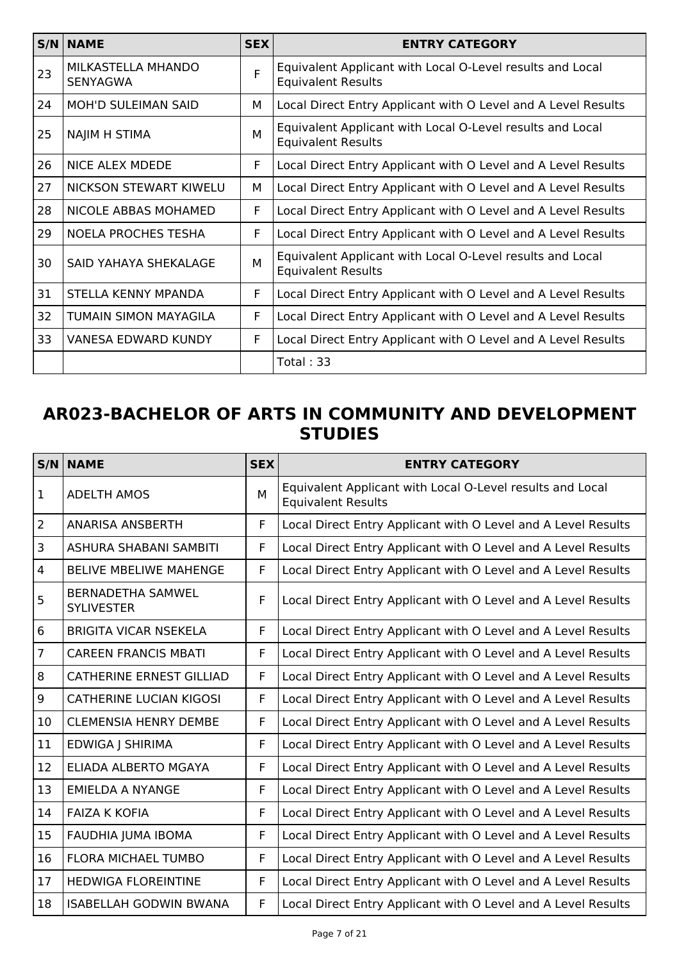|    | $S/N$ NAME                     | <b>SEX</b> | <b>ENTRY CATEGORY</b>                                                                  |
|----|--------------------------------|------------|----------------------------------------------------------------------------------------|
| 23 | MILKASTELLA MHANDO<br>SENYAGWA | F          | Equivalent Applicant with Local O-Level results and Local<br><b>Equivalent Results</b> |
| 24 | MOH'D SULEIMAN SAID            | м          | Local Direct Entry Applicant with O Level and A Level Results                          |
| 25 | NAJIM H STIMA                  | м          | Equivalent Applicant with Local O-Level results and Local<br><b>Equivalent Results</b> |
| 26 | <b>NICE ALEX MDEDE</b>         | F          | Local Direct Entry Applicant with O Level and A Level Results                          |
| 27 | NICKSON STEWART KIWELU         | М          | Local Direct Entry Applicant with O Level and A Level Results                          |
| 28 | NICOLE ABBAS MOHAMED           | F          | Local Direct Entry Applicant with O Level and A Level Results                          |
| 29 | <b>NOELA PROCHES TESHA</b>     | F          | Local Direct Entry Applicant with O Level and A Level Results                          |
| 30 | SAID YAHAYA SHEKALAGE          | M          | Equivalent Applicant with Local O-Level results and Local<br><b>Equivalent Results</b> |
| 31 | STELLA KENNY MPANDA            | F          | Local Direct Entry Applicant with O Level and A Level Results                          |
| 32 | TUMAIN SIMON MAYAGILA          | F          | Local Direct Entry Applicant with O Level and A Level Results                          |
| 33 | VANESA EDWARD KUNDY            | F          | Local Direct Entry Applicant with O Level and A Level Results                          |
|    |                                |            | Total: 33                                                                              |

### **AR023-BACHELOR OF ARTS IN COMMUNITY AND DEVELOPMENT STUDIES**

|                         | <b>S/N NAME</b>                               | <b>SEX</b> | <b>ENTRY CATEGORY</b>                                                                  |
|-------------------------|-----------------------------------------------|------------|----------------------------------------------------------------------------------------|
| $\vert$ 1               | <b>ADELTH AMOS</b>                            | M          | Equivalent Applicant with Local O-Level results and Local<br><b>Equivalent Results</b> |
| $\overline{2}$          | <b>ANARISA ANSBERTH</b>                       | F.         | Local Direct Entry Applicant with O Level and A Level Results                          |
| $\overline{\mathbf{3}}$ | ASHURA SHABANI SAMBITI                        | F          | Local Direct Entry Applicant with O Level and A Level Results                          |
| $\overline{4}$          | <b>BELIVE MBELIWE MAHENGE</b>                 | F          | Local Direct Entry Applicant with O Level and A Level Results                          |
| 5                       | <b>BERNADETHA SAMWEL</b><br><b>SYLIVESTER</b> | F          | Local Direct Entry Applicant with O Level and A Level Results                          |
| 6                       | <b>BRIGITA VICAR NSEKELA</b>                  | F          | Local Direct Entry Applicant with O Level and A Level Results                          |
| $\overline{7}$          | <b>CAREEN FRANCIS MBATI</b>                   | F          | Local Direct Entry Applicant with O Level and A Level Results                          |
| 8                       | <b>CATHERINE ERNEST GILLIAD</b>               | F.         | Local Direct Entry Applicant with O Level and A Level Results                          |
| $\overline{9}$          | <b>CATHERINE LUCIAN KIGOSI</b>                | F.         | Local Direct Entry Applicant with O Level and A Level Results                          |
| 10                      | <b>CLEMENSIA HENRY DEMBE</b>                  | F          | Local Direct Entry Applicant with O Level and A Level Results                          |
| 11                      | EDWIGA J SHIRIMA                              | F          | Local Direct Entry Applicant with O Level and A Level Results                          |
| 12                      | <b>ELIADA ALBERTO MGAYA</b>                   | F.         | Local Direct Entry Applicant with O Level and A Level Results                          |
| 13                      | <b>EMIELDA A NYANGE</b>                       | F          | Local Direct Entry Applicant with O Level and A Level Results                          |
| 14                      | <b>FAIZA K KOFIA</b>                          | F          | Local Direct Entry Applicant with O Level and A Level Results                          |
| 15                      | FAUDHIA JUMA IBOMA                            | F          | Local Direct Entry Applicant with O Level and A Level Results                          |
| 16                      | <b>FLORA MICHAEL TUMBO</b>                    | F          | Local Direct Entry Applicant with O Level and A Level Results                          |
| 17                      | <b>HEDWIGA FLOREINTINE</b>                    | F          | Local Direct Entry Applicant with O Level and A Level Results                          |
| 18                      | <b>ISABELLAH GODWIN BWANA</b>                 | F.         | Local Direct Entry Applicant with O Level and A Level Results                          |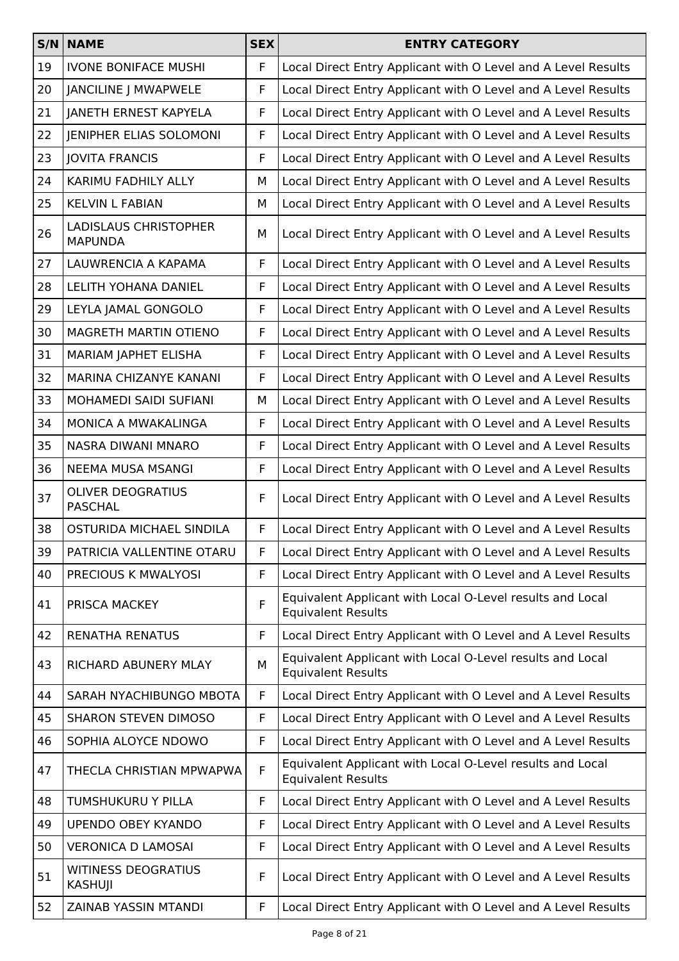|    | $S/N$ NAME                                     | <b>SEX</b> | <b>ENTRY CATEGORY</b>                                                                  |
|----|------------------------------------------------|------------|----------------------------------------------------------------------------------------|
| 19 | <b>IVONE BONIFACE MUSHI</b>                    | F          | Local Direct Entry Applicant with O Level and A Level Results                          |
| 20 | <b>JANCILINE J MWAPWELE</b>                    | F          | Local Direct Entry Applicant with O Level and A Level Results                          |
| 21 | JANETH ERNEST KAPYELA                          | F          | Local Direct Entry Applicant with O Level and A Level Results                          |
| 22 | JENIPHER ELIAS SOLOMONI                        | F          | Local Direct Entry Applicant with O Level and A Level Results                          |
| 23 | <b>JOVITA FRANCIS</b>                          | F          | Local Direct Entry Applicant with O Level and A Level Results                          |
| 24 | KARIMU FADHILY ALLY                            | М          | Local Direct Entry Applicant with O Level and A Level Results                          |
| 25 | <b>KELVIN L FABIAN</b>                         | М          | Local Direct Entry Applicant with O Level and A Level Results                          |
| 26 | <b>LADISLAUS CHRISTOPHER</b><br><b>MAPUNDA</b> | М          | Local Direct Entry Applicant with O Level and A Level Results                          |
| 27 | LAUWRENCIA A KAPAMA                            | F          | Local Direct Entry Applicant with O Level and A Level Results                          |
| 28 | <b>LELITH YOHANA DANIEL</b>                    | F          | Local Direct Entry Applicant with O Level and A Level Results                          |
| 29 | LEYLA JAMAL GONGOLO                            | F          | Local Direct Entry Applicant with O Level and A Level Results                          |
| 30 | MAGRETH MARTIN OTIENO                          | F          | Local Direct Entry Applicant with O Level and A Level Results                          |
| 31 | MARIAM JAPHET ELISHA                           | F          | Local Direct Entry Applicant with O Level and A Level Results                          |
| 32 | MARINA CHIZANYE KANANI                         | F          | Local Direct Entry Applicant with O Level and A Level Results                          |
| 33 | MOHAMEDI SAIDI SUFIANI                         | М          | Local Direct Entry Applicant with O Level and A Level Results                          |
| 34 | MONICA A MWAKALINGA                            | F          | Local Direct Entry Applicant with O Level and A Level Results                          |
| 35 | NASRA DIWANI MNARO                             | F          | Local Direct Entry Applicant with O Level and A Level Results                          |
| 36 | <b>NEEMA MUSA MSANGI</b>                       | F          | Local Direct Entry Applicant with O Level and A Level Results                          |
| 37 | <b>OLIVER DEOGRATIUS</b><br><b>PASCHAL</b>     | F          | Local Direct Entry Applicant with O Level and A Level Results                          |
| 38 | OSTURIDA MICHAEL SINDILA                       | F          | Local Direct Entry Applicant with O Level and A Level Results                          |
| 39 | PATRICIA VALLENTINE OTARU                      | F          | Local Direct Entry Applicant with O Level and A Level Results                          |
| 40 | PRECIOUS K MWALYOSI                            | F          | Local Direct Entry Applicant with O Level and A Level Results                          |
| 41 | PRISCA MACKEY                                  | F          | Equivalent Applicant with Local O-Level results and Local<br><b>Equivalent Results</b> |
| 42 | <b>RENATHA RENATUS</b>                         | F          | Local Direct Entry Applicant with O Level and A Level Results                          |
| 43 | RICHARD ABUNERY MLAY                           | M          | Equivalent Applicant with Local O-Level results and Local<br><b>Equivalent Results</b> |
| 44 | SARAH NYACHIBUNGO MBOTA                        | F.         | Local Direct Entry Applicant with O Level and A Level Results                          |
| 45 | <b>SHARON STEVEN DIMOSO</b>                    | F          | Local Direct Entry Applicant with O Level and A Level Results                          |
| 46 | SOPHIA ALOYCE NDOWO                            | F          | Local Direct Entry Applicant with O Level and A Level Results                          |
| 47 | THECLA CHRISTIAN MPWAPWA                       | F          | Equivalent Applicant with Local O-Level results and Local<br><b>Equivalent Results</b> |
| 48 | TUMSHUKURU Y PILLA                             | F.         | Local Direct Entry Applicant with O Level and A Level Results                          |
| 49 | <b>UPENDO OBEY KYANDO</b>                      | F          | Local Direct Entry Applicant with O Level and A Level Results                          |
| 50 | <b>VERONICA D LAMOSAI</b>                      | F          | Local Direct Entry Applicant with O Level and A Level Results                          |
| 51 | <b>WITINESS DEOGRATIUS</b><br>KASHUJI          | F          | Local Direct Entry Applicant with O Level and A Level Results                          |
| 52 | ZAINAB YASSIN MTANDI                           | F          | Local Direct Entry Applicant with O Level and A Level Results                          |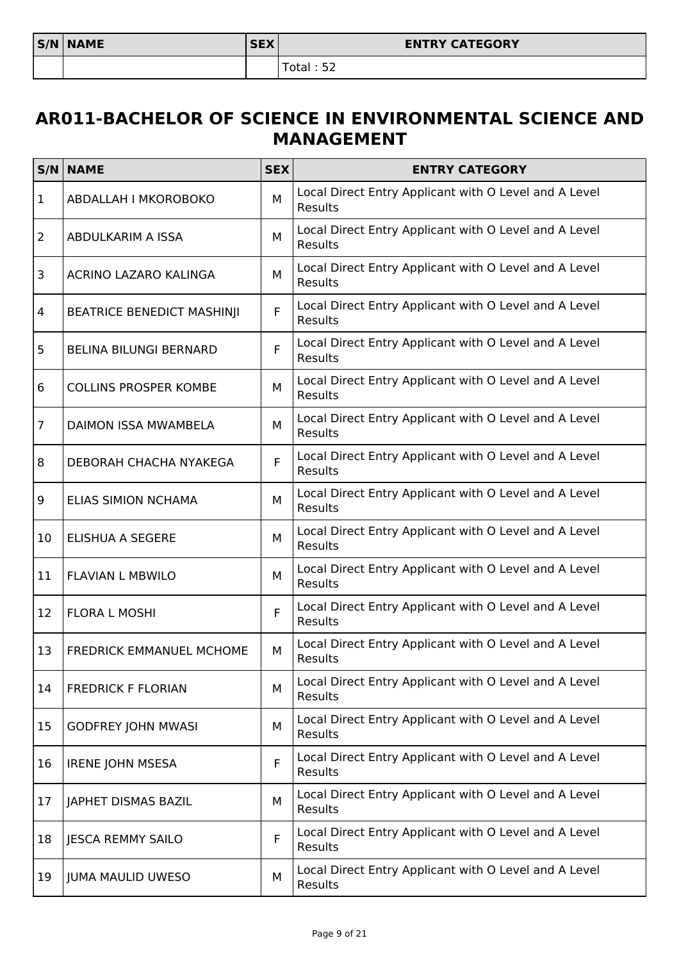#### **AR011-BACHELOR OF SCIENCE IN ENVIRONMENTAL SCIENCE AND MANAGEMENT**

|                | <b>S/N NAME</b>                   | <b>SEX</b> | <b>ENTRY CATEGORY</b>                                                   |
|----------------|-----------------------------------|------------|-------------------------------------------------------------------------|
| 1              | ABDALLAH I MKOROBOKO              | М          | Local Direct Entry Applicant with O Level and A Level<br>Results        |
| $\overline{2}$ | ABDULKARIM A ISSA                 | М          | Local Direct Entry Applicant with O Level and A Level<br><b>Results</b> |
| 3              | ACRINO LAZARO KALINGA             | м          | Local Direct Entry Applicant with O Level and A Level<br>Results        |
| 4              | <b>BEATRICE BENEDICT MASHINJI</b> | F          | Local Direct Entry Applicant with O Level and A Level<br>Results        |
| 5              | <b>BELINA BILUNGI BERNARD</b>     | F          | Local Direct Entry Applicant with O Level and A Level<br>Results        |
| 6              | <b>COLLINS PROSPER KOMBE</b>      | М          | Local Direct Entry Applicant with O Level and A Level<br><b>Results</b> |
| $\overline{7}$ | <b>DAIMON ISSA MWAMBELA</b>       | M          | Local Direct Entry Applicant with O Level and A Level<br>Results        |
| 8              | DEBORAH CHACHA NYAKEGA            | F          | Local Direct Entry Applicant with O Level and A Level<br>Results        |
| 9              | <b>ELIAS SIMION NCHAMA</b>        | M          | Local Direct Entry Applicant with O Level and A Level<br>Results        |
| 10             | <b>ELISHUA A SEGERE</b>           | М          | Local Direct Entry Applicant with O Level and A Level<br><b>Results</b> |
| 11             | <b>FLAVIAN L MBWILO</b>           | M          | Local Direct Entry Applicant with O Level and A Level<br>Results        |
| 12             | <b>FLORA L MOSHI</b>              | F          | Local Direct Entry Applicant with O Level and A Level<br>Results        |
| 13             | <b>FREDRICK EMMANUEL MCHOME</b>   | М          | Local Direct Entry Applicant with O Level and A Level<br>Results        |
| 14             | <b>FREDRICK F FLORIAN</b>         | М          | Local Direct Entry Applicant with O Level and A Level<br>Results        |
| 15             | <b>GODFREY JOHN MWASI</b>         | М          | Local Direct Entry Applicant with O Level and A Level<br>Results        |
| 16             | <b>IRENE JOHN MSESA</b>           | F          | Local Direct Entry Applicant with O Level and A Level<br>Results        |
| 17             | JAPHET DISMAS BAZIL               | М          | Local Direct Entry Applicant with O Level and A Level<br>Results        |
| 18             | <b>JESCA REMMY SAILO</b>          | F          | Local Direct Entry Applicant with O Level and A Level<br>Results        |
| 19             | <b>JUMA MAULID UWESO</b>          | М          | Local Direct Entry Applicant with O Level and A Level<br>Results        |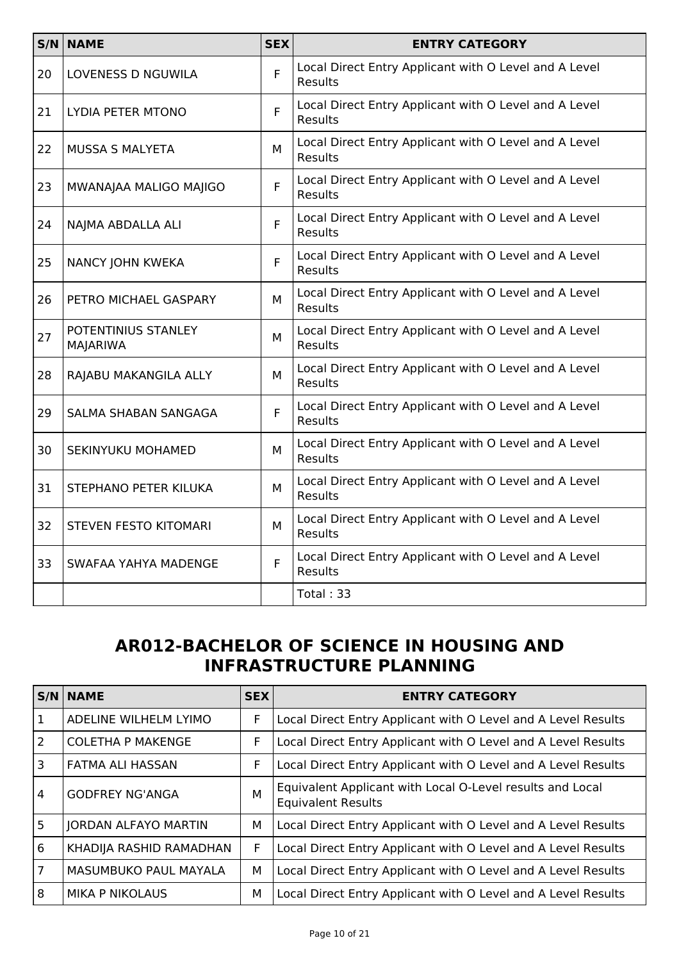|    | S/N NAME                        | <b>SEX</b> | <b>ENTRY CATEGORY</b>                                                   |
|----|---------------------------------|------------|-------------------------------------------------------------------------|
| 20 | <b>LOVENESS D NGUWILA</b>       | F          | Local Direct Entry Applicant with O Level and A Level<br><b>Results</b> |
| 21 | LYDIA PETER MTONO               | F          | Local Direct Entry Applicant with O Level and A Level<br>Results        |
| 22 | MUSSA S MALYETA                 | м          | Local Direct Entry Applicant with O Level and A Level<br><b>Results</b> |
| 23 | MWANAJAA MALIGO MAJIGO          | F          | Local Direct Entry Applicant with O Level and A Level<br>Results        |
| 24 | NAJMA ABDALLA ALI               | F.         | Local Direct Entry Applicant with O Level and A Level<br><b>Results</b> |
| 25 | NANCY JOHN KWEKA                | F          | Local Direct Entry Applicant with O Level and A Level<br>Results        |
| 26 | PETRO MICHAEL GASPARY           | M          | Local Direct Entry Applicant with O Level and A Level<br><b>Results</b> |
| 27 | POTENTINIUS STANLEY<br>MAJARIWA | м          | Local Direct Entry Applicant with O Level and A Level<br>Results        |
| 28 | RAJABU MAKANGILA ALLY           | м          | Local Direct Entry Applicant with O Level and A Level<br><b>Results</b> |
| 29 | SALMA SHABAN SANGAGA            | F          | Local Direct Entry Applicant with O Level and A Level<br>Results        |
| 30 | SEKINYUKU MOHAMED               | м          | Local Direct Entry Applicant with O Level and A Level<br><b>Results</b> |
| 31 | STEPHANO PETER KILUKA           | M          | Local Direct Entry Applicant with O Level and A Level<br>Results        |
| 32 | <b>STEVEN FESTO KITOMARI</b>    | м          | Local Direct Entry Applicant with O Level and A Level<br><b>Results</b> |
| 33 | SWAFAA YAHYA MADENGE            | F.         | Local Direct Entry Applicant with O Level and A Level<br><b>Results</b> |
|    |                                 |            | Total: 33                                                               |

## **AR012-BACHELOR OF SCIENCE IN HOUSING AND INFRASTRUCTURE PLANNING**

|                | <b>S/N NAME</b>             | <b>SEX</b> | <b>ENTRY CATEGORY</b>                                                                  |
|----------------|-----------------------------|------------|----------------------------------------------------------------------------------------|
| -1             | ADELINE WILHELM LYIMO       | F.         | Local Direct Entry Applicant with O Level and A Level Results                          |
| 2              | <b>COLETHA P MAKENGE</b>    | F          | Local Direct Entry Applicant with O Level and A Level Results                          |
| 3              | FATMA ALI HASSAN            | F          | Local Direct Entry Applicant with O Level and A Level Results                          |
| $\overline{4}$ | <b>GODFREY NG'ANGA</b>      | M          | Equivalent Applicant with Local O-Level results and Local<br><b>Equivalent Results</b> |
| 5              | <b>JORDAN ALFAYO MARTIN</b> | М          | Local Direct Entry Applicant with O Level and A Level Results                          |
| 6              | KHADIJA RASHID RAMADHAN     | F          | Local Direct Entry Applicant with O Level and A Level Results                          |
| $\overline{7}$ | MASUMBUKO PAUL MAYALA       | М          | Local Direct Entry Applicant with O Level and A Level Results                          |
| 8              | <b>MIKA P NIKOLAUS</b>      | м          | Local Direct Entry Applicant with O Level and A Level Results                          |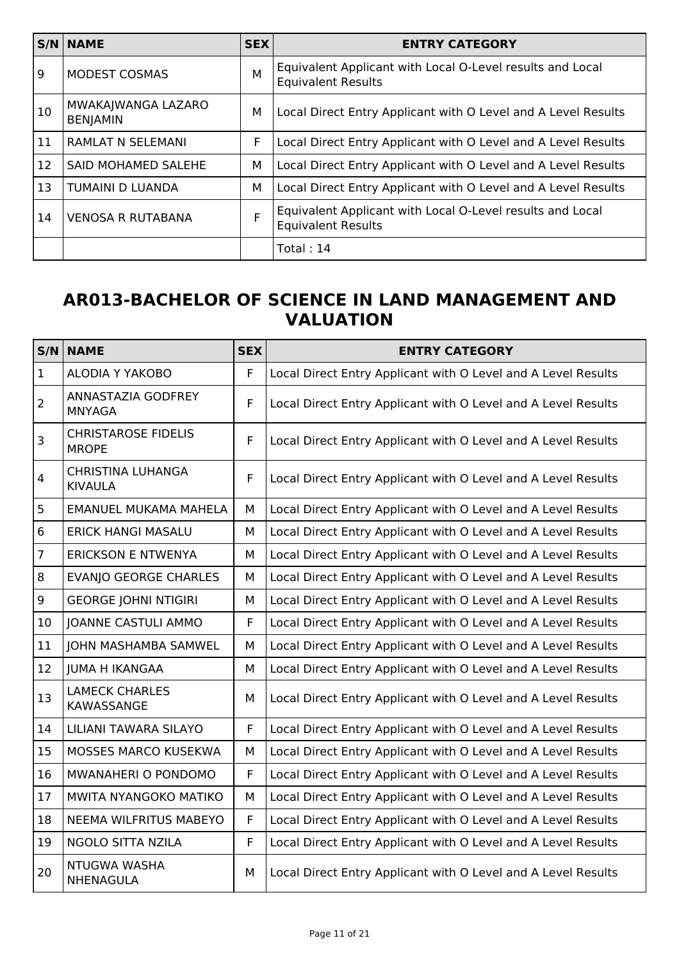|    | $S/N$ NAME                            | <b>SEX</b> | <b>ENTRY CATEGORY</b>                                                                  |
|----|---------------------------------------|------------|----------------------------------------------------------------------------------------|
| 9  | <b>MODEST COSMAS</b>                  | M          | Equivalent Applicant with Local O-Level results and Local<br><b>Equivalent Results</b> |
| 10 | MWAKAJWANGA LAZARO<br><b>BENJAMIN</b> | М          | Local Direct Entry Applicant with O Level and A Level Results                          |
| 11 | <b>RAMLAT N SELEMANI</b>              | F          | Local Direct Entry Applicant with O Level and A Level Results                          |
| 12 | <b>SAID MOHAMED SALEHE</b>            | М          | Local Direct Entry Applicant with O Level and A Level Results                          |
| 13 | TUMAINI D LUANDA                      | М          | Local Direct Entry Applicant with O Level and A Level Results                          |
| 14 | <b>VENOSA R RUTABANA</b>              | F          | Equivalent Applicant with Local O-Level results and Local<br><b>Equivalent Results</b> |
|    |                                       |            | Total: $14$                                                                            |

## **AR013-BACHELOR OF SCIENCE IN LAND MANAGEMENT AND VALUATION**

| S/N              | <b>NAME</b>                                | <b>SEX</b>  | <b>ENTRY CATEGORY</b>                                         |
|------------------|--------------------------------------------|-------------|---------------------------------------------------------------|
| $\vert$ 1        | <b>ALODIA Y YAKOBO</b>                     | F           | Local Direct Entry Applicant with O Level and A Level Results |
| $\overline{2}$   | ANNASTAZIA GODFREY<br><b>MNYAGA</b>        | F           | Local Direct Entry Applicant with O Level and A Level Results |
| $\mathsf{3}$     | <b>CHRISTAROSE FIDELIS</b><br><b>MROPE</b> | F           | Local Direct Entry Applicant with O Level and A Level Results |
| $\overline{4}$   | <b>CHRISTINA LUHANGA</b><br><b>KIVAULA</b> | $\mathsf F$ | Local Direct Entry Applicant with O Level and A Level Results |
| 5                | <b>EMANUEL MUKAMA MAHELA</b>               | M           | Local Direct Entry Applicant with O Level and A Level Results |
| $6\phantom{1}$   | <b>ERICK HANGI MASALU</b>                  | M           | Local Direct Entry Applicant with O Level and A Level Results |
| $\overline{7}$   | <b>ERICKSON E NTWENYA</b>                  | M           | Local Direct Entry Applicant with O Level and A Level Results |
| $\,8\,$          | <b>EVANJO GEORGE CHARLES</b>               | М           | Local Direct Entry Applicant with O Level and A Level Results |
| $\boldsymbol{9}$ | <b>GEORGE JOHNI NTIGIRI</b>                | M           | Local Direct Entry Applicant with O Level and A Level Results |
| 10               | <b>JOANNE CASTULI AMMO</b>                 | F           | Local Direct Entry Applicant with O Level and A Level Results |
| 11               | JOHN MASHAMBA SAMWEL                       | M           | Local Direct Entry Applicant with O Level and A Level Results |
| 12               | <b>JUMA H IKANGAA</b>                      | М           | Local Direct Entry Applicant with O Level and A Level Results |
| 13               | <b>LAMECK CHARLES</b><br><b>KAWASSANGE</b> | M           | Local Direct Entry Applicant with O Level and A Level Results |
| 14               | <b>LILIANI TAWARA SILAYO</b>               | F           | Local Direct Entry Applicant with O Level and A Level Results |
| 15               | <b>MOSSES MARCO KUSEKWA</b>                | М           | Local Direct Entry Applicant with O Level and A Level Results |
| 16               | MWANAHERI O PONDOMO                        | $\mathsf F$ | Local Direct Entry Applicant with O Level and A Level Results |
| 17               | MWITA NYANGOKO MATIKO                      | М           | Local Direct Entry Applicant with O Level and A Level Results |
| 18               | NEEMA WILFRITUS MABEYO                     | $\mathsf F$ | Local Direct Entry Applicant with O Level and A Level Results |
| 19               | NGOLO SITTA NZILA                          | F           | Local Direct Entry Applicant with O Level and A Level Results |
| 20               | NTUGWA WASHA<br>NHENAGULA                  | M           | Local Direct Entry Applicant with O Level and A Level Results |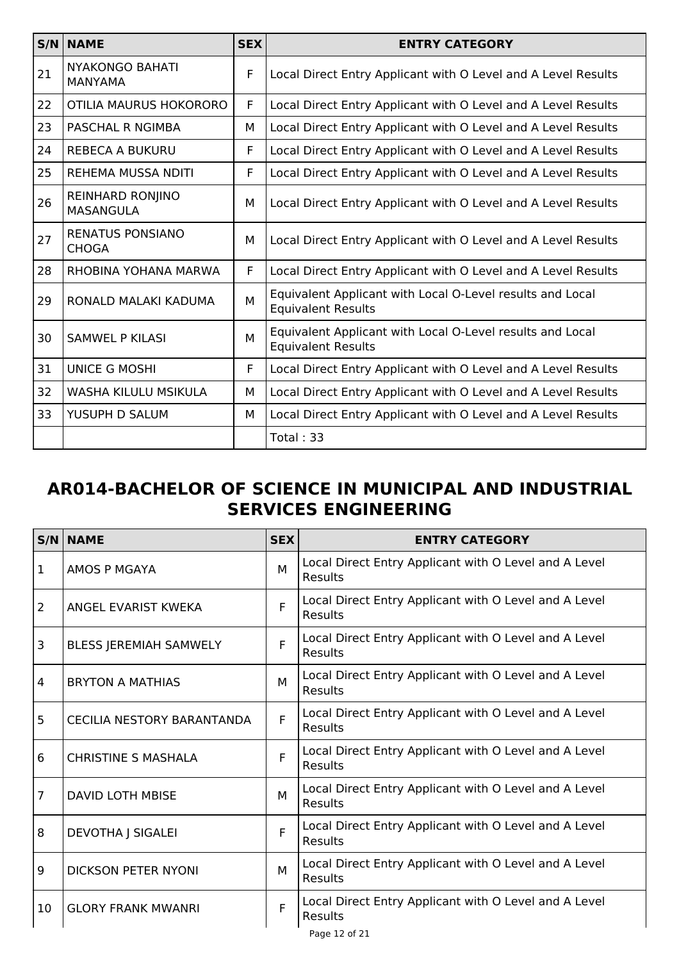|    | $S/N$ NAME                                  | <b>SEX</b> | <b>ENTRY CATEGORY</b>                                                                  |
|----|---------------------------------------------|------------|----------------------------------------------------------------------------------------|
| 21 | <b>NYAKONGO BAHATI</b><br><b>MANYAMA</b>    | F          | Local Direct Entry Applicant with O Level and A Level Results                          |
| 22 | OTILIA MAURUS HOKORORO                      | F          | Local Direct Entry Applicant with O Level and A Level Results                          |
| 23 | PASCHAL R NGIMBA                            | M          | Local Direct Entry Applicant with O Level and A Level Results                          |
| 24 | REBECA A BUKURU                             | F          | Local Direct Entry Applicant with O Level and A Level Results                          |
| 25 | REHEMA MUSSA NDITI                          | F          | Local Direct Entry Applicant with O Level and A Level Results                          |
| 26 | <b>REINHARD RONJINO</b><br><b>MASANGULA</b> | М          | Local Direct Entry Applicant with O Level and A Level Results                          |
| 27 | <b>RENATUS PONSIANO</b><br><b>CHOGA</b>     | М          | Local Direct Entry Applicant with O Level and A Level Results                          |
| 28 | RHOBINA YOHANA MARWA                        | F          | Local Direct Entry Applicant with O Level and A Level Results                          |
| 29 | RONALD MALAKI KADUMA                        | M          | Equivalent Applicant with Local O-Level results and Local<br><b>Equivalent Results</b> |
| 30 | <b>SAMWEL P KILASI</b>                      | M          | Equivalent Applicant with Local O-Level results and Local<br><b>Equivalent Results</b> |
| 31 | <b>UNICE G MOSHI</b>                        | F          | Local Direct Entry Applicant with O Level and A Level Results                          |
| 32 | WASHA KILULU MSIKULA                        | м          | Local Direct Entry Applicant with O Level and A Level Results                          |
| 33 | YUSUPH D SALUM                              | м          | Local Direct Entry Applicant with O Level and A Level Results                          |
|    |                                             |            | Total: $33$                                                                            |

## **AR014-BACHELOR OF SCIENCE IN MUNICIPAL AND INDUSTRIAL SERVICES ENGINEERING**

|                | <b>S/N NAME</b>               | <b>SEX</b> | <b>ENTRY CATEGORY</b>                                                   |
|----------------|-------------------------------|------------|-------------------------------------------------------------------------|
| 1              | AMOS P MGAYA                  | M          | Local Direct Entry Applicant with O Level and A Level<br>Results        |
| $\overline{2}$ | ANGEL EVARIST KWEKA           | F          | Local Direct Entry Applicant with O Level and A Level<br><b>Results</b> |
| 3              | <b>BLESS JEREMIAH SAMWELY</b> | F          | Local Direct Entry Applicant with O Level and A Level<br><b>Results</b> |
| 4              | <b>BRYTON A MATHIAS</b>       | M          | Local Direct Entry Applicant with O Level and A Level<br><b>Results</b> |
| 5              | CECILIA NESTORY BARANTANDA    | F          | Local Direct Entry Applicant with O Level and A Level<br><b>Results</b> |
| 6              | <b>CHRISTINE S MASHALA</b>    | F          | Local Direct Entry Applicant with O Level and A Level<br><b>Results</b> |
| $\overline{7}$ | <b>DAVID LOTH MBISE</b>       | M          | Local Direct Entry Applicant with O Level and A Level<br>Results        |
| 8              | <b>DEVOTHA J SIGALEI</b>      | F          | Local Direct Entry Applicant with O Level and A Level<br>Results        |
| 9              | <b>DICKSON PETER NYONI</b>    | M          | Local Direct Entry Applicant with O Level and A Level<br>Results        |
| 10             | <b>GLORY FRANK MWANRI</b>     | F          | Local Direct Entry Applicant with O Level and A Level<br><b>Results</b> |
|                |                               |            | Page 12 of 21                                                           |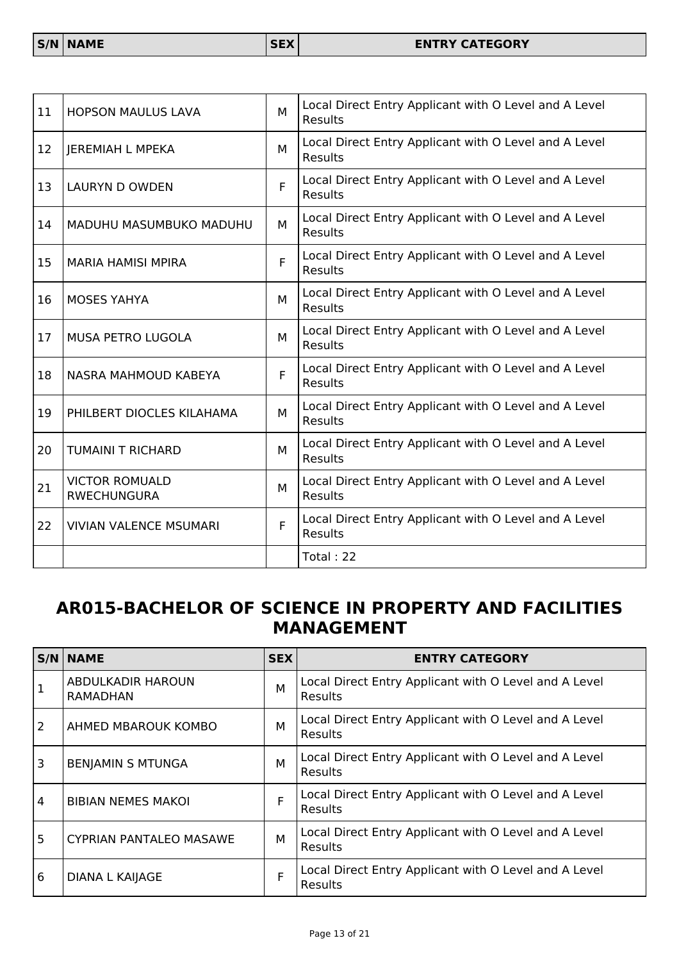| 11        | <b>HOPSON MAULUS LAVA</b>                   | M | Local Direct Entry Applicant with O Level and A Level<br><b>Results</b> |
|-----------|---------------------------------------------|---|-------------------------------------------------------------------------|
| <b>12</b> | JEREMIAH L MPEKA                            | м | Local Direct Entry Applicant with O Level and A Level<br><b>Results</b> |
| <b>13</b> | <b>LAURYN D OWDEN</b>                       | F | Local Direct Entry Applicant with O Level and A Level<br><b>Results</b> |
| 14        | MADUHU MASUMBUKO MADUHU                     | м | Local Direct Entry Applicant with O Level and A Level<br><b>Results</b> |
| <b>15</b> | <b>MARIA HAMISI MPIRA</b>                   | F | Local Direct Entry Applicant with O Level and A Level<br><b>Results</b> |
| 16        | <b>MOSES YAHYA</b>                          | м | Local Direct Entry Applicant with O Level and A Level<br><b>Results</b> |
| 17        | <b>MUSA PETRO LUGOLA</b>                    | м | Local Direct Entry Applicant with O Level and A Level<br><b>Results</b> |
| 18        | NASRA MAHMOUD KABEYA                        | F | Local Direct Entry Applicant with O Level and A Level<br><b>Results</b> |
| 19        | PHILBERT DIOCLES KILAHAMA                   | М | Local Direct Entry Applicant with O Level and A Level<br><b>Results</b> |
| 20        | <b>TUMAINI T RICHARD</b>                    | м | Local Direct Entry Applicant with O Level and A Level<br><b>Results</b> |
| 21        | <b>VICTOR ROMUALD</b><br><b>RWECHUNGURA</b> | м | Local Direct Entry Applicant with O Level and A Level<br>Results        |
| 22        | <b>VIVIAN VALENCE MSUMARI</b>               | F | Local Direct Entry Applicant with O Level and A Level<br>Results        |
|           |                                             |   | Total: 22                                                               |

## **AR015-BACHELOR OF SCIENCE IN PROPERTY AND FACILITIES MANAGEMENT**

|   | $S/N$ NAME                     | <b>SEX</b> | <b>ENTRY CATEGORY</b>                                                   |
|---|--------------------------------|------------|-------------------------------------------------------------------------|
|   | ABDULKADIR HAROUN<br>RAMADHAN  | M          | Local Direct Entry Applicant with O Level and A Level<br><b>Results</b> |
| 2 | AHMED MBAROUK KOMBO            | M          | Local Direct Entry Applicant with O Level and A Level<br><b>Results</b> |
| 3 | <b>BENJAMIN S MTUNGA</b>       | M          | Local Direct Entry Applicant with O Level and A Level<br><b>Results</b> |
| 4 | <b>BIBIAN NEMES MAKOL</b>      | F          | Local Direct Entry Applicant with O Level and A Level<br><b>Results</b> |
| 5 | <b>CYPRIAN PANTALEO MASAWE</b> | M          | Local Direct Entry Applicant with O Level and A Level<br><b>Results</b> |
| 6 | <b>DIANA L KAIJAGE</b>         | F          | Local Direct Entry Applicant with O Level and A Level<br>Results        |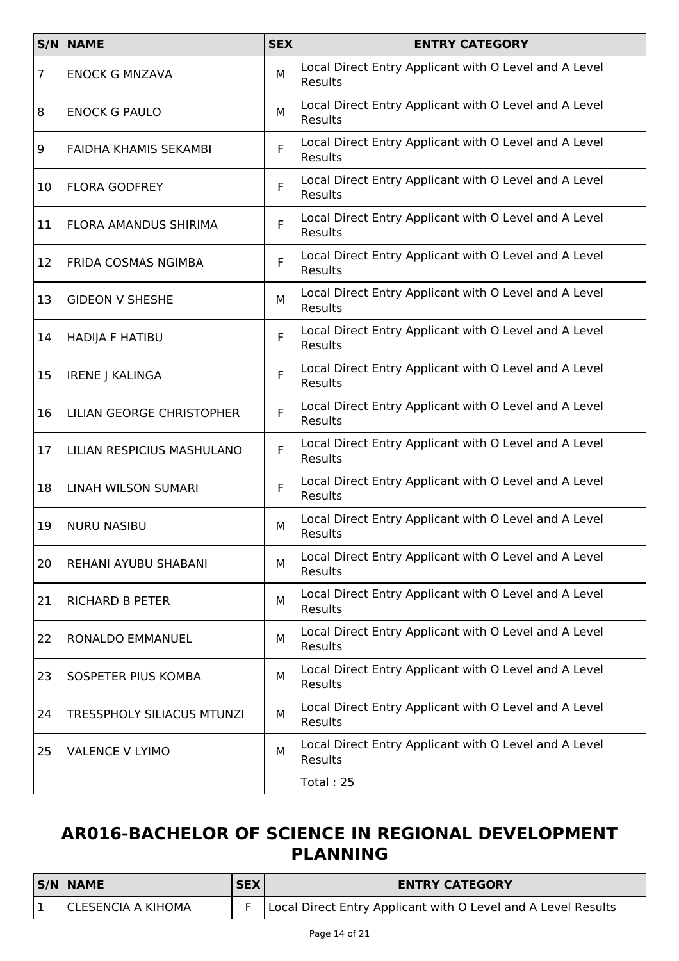|                | <b>S/N NAME</b>                   | <b>SEX</b> | <b>ENTRY CATEGORY</b>                                                   |
|----------------|-----------------------------------|------------|-------------------------------------------------------------------------|
| $\overline{7}$ | <b>ENOCK G MNZAVA</b>             | М          | Local Direct Entry Applicant with O Level and A Level<br>Results        |
| 8              | <b>ENOCK G PAULO</b>              | M          | Local Direct Entry Applicant with O Level and A Level<br>Results        |
| 9              | FAIDHA KHAMIS SEKAMBI             | F          | Local Direct Entry Applicant with O Level and A Level<br>Results        |
| 10             | <b>FLORA GODFREY</b>              | F          | Local Direct Entry Applicant with O Level and A Level<br><b>Results</b> |
| 11             | FLORA AMANDUS SHIRIMA             | F          | Local Direct Entry Applicant with O Level and A Level<br>Results        |
| 12             | <b>FRIDA COSMAS NGIMBA</b>        | F          | Local Direct Entry Applicant with O Level and A Level<br>Results        |
| 13             | <b>GIDEON V SHESHE</b>            | М          | Local Direct Entry Applicant with O Level and A Level<br>Results        |
| 14             | HADIJA F HATIBU                   | F          | Local Direct Entry Applicant with O Level and A Level<br>Results        |
| 15             | <b>IRENE J KALINGA</b>            | F          | Local Direct Entry Applicant with O Level and A Level<br>Results        |
| 16             | LILIAN GEORGE CHRISTOPHER         | F          | Local Direct Entry Applicant with O Level and A Level<br>Results        |
| 17             | LILIAN RESPICIUS MASHULANO        | F          | Local Direct Entry Applicant with O Level and A Level<br>Results        |
| 18             | LINAH WILSON SUMARI               | F          | Local Direct Entry Applicant with O Level and A Level<br>Results        |
| 19             | <b>NURU NASIBU</b>                | М          | Local Direct Entry Applicant with O Level and A Level<br>Results        |
| 20             | REHANI AYUBU SHABANI              | M          | Local Direct Entry Applicant with O Level and A Level<br>Results        |
| 21             | <b>RICHARD B PETER</b>            | м          | Local Direct Entry Applicant with O Level and A Level<br>Results        |
| 22             | RONALDO EMMANUEL                  | M          | Local Direct Entry Applicant with O Level and A Level<br>Results        |
| 23             | SOSPETER PIUS KOMBA               | М          | Local Direct Entry Applicant with O Level and A Level<br>Results        |
| 24             | <b>TRESSPHOLY SILIACUS MTUNZI</b> | М          | Local Direct Entry Applicant with O Level and A Level<br>Results        |
| 25             | <b>VALENCE V LYIMO</b>            | М          | Local Direct Entry Applicant with O Level and A Level<br>Results        |
|                |                                   |            | Total: 25                                                               |

# **AR016-BACHELOR OF SCIENCE IN REGIONAL DEVELOPMENT PLANNING**

| $S/N$ NAME           | <b>SEX</b> | <b>ENTRY CATEGORY</b>                                         |
|----------------------|------------|---------------------------------------------------------------|
| I CLESENCIA A KIHOMA |            | Local Direct Entry Applicant with O Level and A Level Results |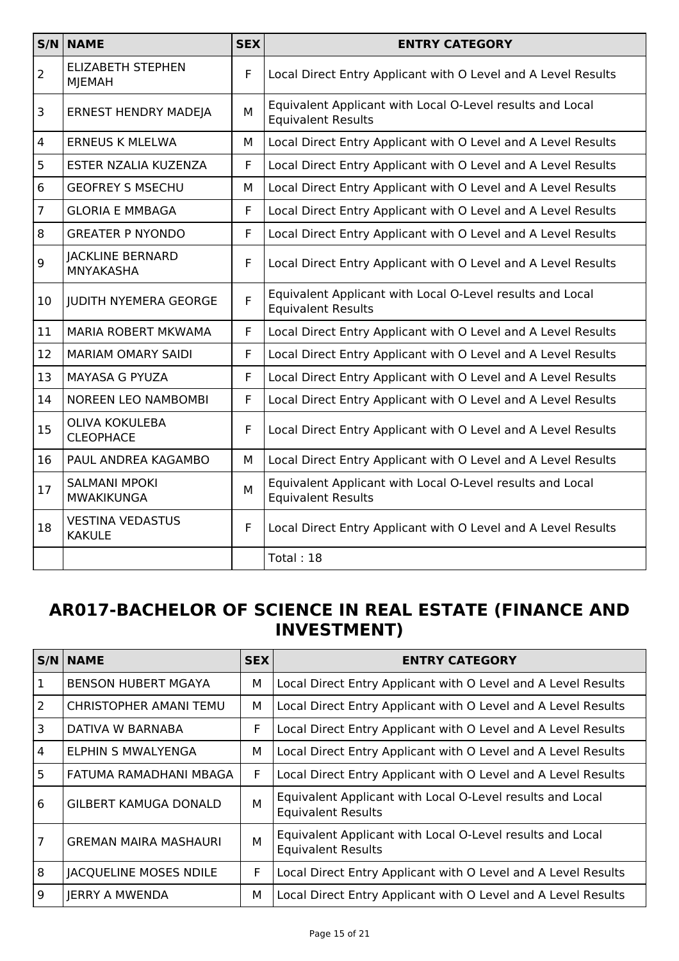|                | S/N NAME                                  | <b>SEX</b> | <b>ENTRY CATEGORY</b>                                                                  |
|----------------|-------------------------------------------|------------|----------------------------------------------------------------------------------------|
| $\overline{2}$ | <b>ELIZABETH STEPHEN</b><br><b>MJEMAH</b> | F          | Local Direct Entry Applicant with O Level and A Level Results                          |
| 3              | <b>ERNEST HENDRY MADEJA</b>               | M          | Equivalent Applicant with Local O-Level results and Local<br><b>Equivalent Results</b> |
| $\overline{4}$ | <b>ERNEUS K MLELWA</b>                    | М          | Local Direct Entry Applicant with O Level and A Level Results                          |
| 5              | ESTER NZALIA KUZENZA                      | F          | Local Direct Entry Applicant with O Level and A Level Results                          |
| 6              | <b>GEOFREY S MSECHU</b>                   | М          | Local Direct Entry Applicant with O Level and A Level Results                          |
| $\overline{7}$ | <b>GLORIA E MMBAGA</b>                    | F          | Local Direct Entry Applicant with O Level and A Level Results                          |
| 8              | <b>GREATER P NYONDO</b>                   | F          | Local Direct Entry Applicant with O Level and A Level Results                          |
| 9              | <b>JACKLINE BERNARD</b><br>MNYAKASHA      | F          | Local Direct Entry Applicant with O Level and A Level Results                          |
| 10             | <b>JUDITH NYEMERA GEORGE</b>              | F          | Equivalent Applicant with Local O-Level results and Local<br><b>Equivalent Results</b> |
| 11             | MARIA ROBERT MKWAMA                       | F.         | Local Direct Entry Applicant with O Level and A Level Results                          |
| 12             | <b>MARIAM OMARY SAIDI</b>                 | F          | Local Direct Entry Applicant with O Level and A Level Results                          |
| 13             | <b>MAYASA G PYUZA</b>                     | F          | Local Direct Entry Applicant with O Level and A Level Results                          |
| 14             | <b>NOREEN LEO NAMBOMBI</b>                | F          | Local Direct Entry Applicant with O Level and A Level Results                          |
| 15             | <b>OLIVA KOKULEBA</b><br><b>CLEOPHACE</b> | F          | Local Direct Entry Applicant with O Level and A Level Results                          |
| 16             | PAUL ANDREA KAGAMBO                       | м          | Local Direct Entry Applicant with O Level and A Level Results                          |
| 17             | <b>SALMANI MPOKI</b><br>MWAKIKUNGA        | M          | Equivalent Applicant with Local O-Level results and Local<br><b>Equivalent Results</b> |
| 18             | <b>VESTINA VEDASTUS</b><br><b>KAKULE</b>  | F          | Local Direct Entry Applicant with O Level and A Level Results                          |
|                |                                           |            | Total: 18                                                                              |

### **AR017-BACHELOR OF SCIENCE IN REAL ESTATE (FINANCE AND INVESTMENT)**

|                | S/N   NAME                    | <b>SEX</b> | <b>ENTRY CATEGORY</b>                                                                  |
|----------------|-------------------------------|------------|----------------------------------------------------------------------------------------|
| -1             | <b>BENSON HUBERT MGAYA</b>    | М          | Local Direct Entry Applicant with O Level and A Level Results                          |
| 2              | CHRISTOPHER AMANI TEMU        | М          | Local Direct Entry Applicant with O Level and A Level Results                          |
| 3              | DATIVA W BARNABA              | F          | Local Direct Entry Applicant with O Level and A Level Results                          |
| $\overline{4}$ | ELPHIN S MWALYENGA            | М          | Local Direct Entry Applicant with O Level and A Level Results                          |
| 5              | FATUMA RAMADHANI MBAGA        | F          | Local Direct Entry Applicant with O Level and A Level Results                          |
| 6              | GILBERT KAMUGA DONALD         | M          | Equivalent Applicant with Local O-Level results and Local<br><b>Equivalent Results</b> |
| $\overline{7}$ | <b>GREMAN MAIRA MASHAURI</b>  | M          | Equivalent Applicant with Local O-Level results and Local<br><b>Equivalent Results</b> |
| 8              | <b>JACQUELINE MOSES NDILE</b> | F          | Local Direct Entry Applicant with O Level and A Level Results                          |
| 9              | JERRY A MWENDA                | М          | Local Direct Entry Applicant with O Level and A Level Results                          |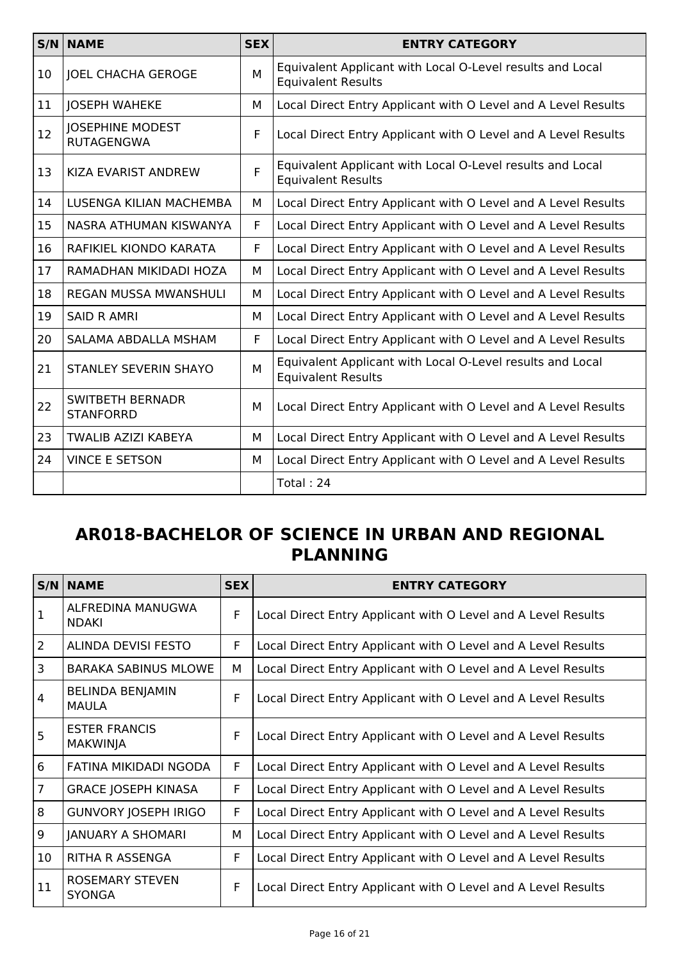|    | <b>S/N NAME</b>                              | <b>SEX</b> | <b>ENTRY CATEGORY</b>                                                                  |
|----|----------------------------------------------|------------|----------------------------------------------------------------------------------------|
| 10 | <b>JOEL CHACHA GEROGE</b>                    | M          | Equivalent Applicant with Local O-Level results and Local<br><b>Equivalent Results</b> |
| 11 | <b>JOSEPH WAHEKE</b>                         | M          | Local Direct Entry Applicant with O Level and A Level Results                          |
| 12 | <b>JOSEPHINE MODEST</b><br><b>RUTAGENGWA</b> | F          | Local Direct Entry Applicant with O Level and A Level Results                          |
| 13 | KIZA EVARIST ANDREW                          | F          | Equivalent Applicant with Local O-Level results and Local<br><b>Equivalent Results</b> |
| 14 | LUSENGA KILIAN MACHEMBA                      | м          | Local Direct Entry Applicant with O Level and A Level Results                          |
| 15 | NASRA ATHUMAN KISWANYA                       | F          | Local Direct Entry Applicant with O Level and A Level Results                          |
| 16 | RAFIKIEL KIONDO KARATA                       | F          | Local Direct Entry Applicant with O Level and A Level Results                          |
| 17 | RAMADHAN MIKIDADI HOZA                       | М          | Local Direct Entry Applicant with O Level and A Level Results                          |
| 18 | <b>REGAN MUSSA MWANSHULI</b>                 | М          | Local Direct Entry Applicant with O Level and A Level Results                          |
| 19 | <b>SAID R AMRI</b>                           | M          | Local Direct Entry Applicant with O Level and A Level Results                          |
| 20 | SALAMA ABDALLA MSHAM                         | F          | Local Direct Entry Applicant with O Level and A Level Results                          |
| 21 | <b>STANLEY SEVERIN SHAYO</b>                 | М          | Equivalent Applicant with Local O-Level results and Local<br><b>Equivalent Results</b> |
| 22 | <b>SWITBETH BERNADR</b><br><b>STANFORRD</b>  | м          | Local Direct Entry Applicant with O Level and A Level Results                          |
| 23 | TWALIB AZIZI KABEYA                          | М          | Local Direct Entry Applicant with O Level and A Level Results                          |
| 24 | <b>VINCE E SETSON</b>                        | м          | Local Direct Entry Applicant with O Level and A Level Results                          |
|    |                                              |            | Total: 24                                                                              |

### **AR018-BACHELOR OF SCIENCE IN URBAN AND REGIONAL PLANNING**

|                | $S/N$ NAME                              | <b>SEX</b> | <b>ENTRY CATEGORY</b>                                         |
|----------------|-----------------------------------------|------------|---------------------------------------------------------------|
| 1              | ALFREDINA MANUGWA<br><b>NDAKI</b>       | F          | Local Direct Entry Applicant with O Level and A Level Results |
| $\overline{2}$ | <b>ALINDA DEVISI FESTO</b>              | F          | Local Direct Entry Applicant with O Level and A Level Results |
| $\overline{3}$ | BARAKA SABINUS MLOWE                    | м          | Local Direct Entry Applicant with O Level and A Level Results |
| 4              | <b>BELINDA BENJAMIN</b><br><b>MAULA</b> | F          | Local Direct Entry Applicant with O Level and A Level Results |
| 5              | <b>ESTER FRANCIS</b><br><b>MAKWINJA</b> | F          | Local Direct Entry Applicant with O Level and A Level Results |
| 6              | FATINA MIKIDADI NGODA                   | F          | Local Direct Entry Applicant with O Level and A Level Results |
| $\overline{7}$ | <b>GRACE JOSEPH KINASA</b>              | F          | Local Direct Entry Applicant with O Level and A Level Results |
| 8              | <b>GUNVORY JOSEPH IRIGO</b>             | F.         | Local Direct Entry Applicant with O Level and A Level Results |
| 9              | <b>JANUARY A SHOMARI</b>                | м          | Local Direct Entry Applicant with O Level and A Level Results |
| 10             | RITHA R ASSENGA                         | F.         | Local Direct Entry Applicant with O Level and A Level Results |
| 11             | <b>ROSEMARY STEVEN</b><br><b>SYONGA</b> | F          | Local Direct Entry Applicant with O Level and A Level Results |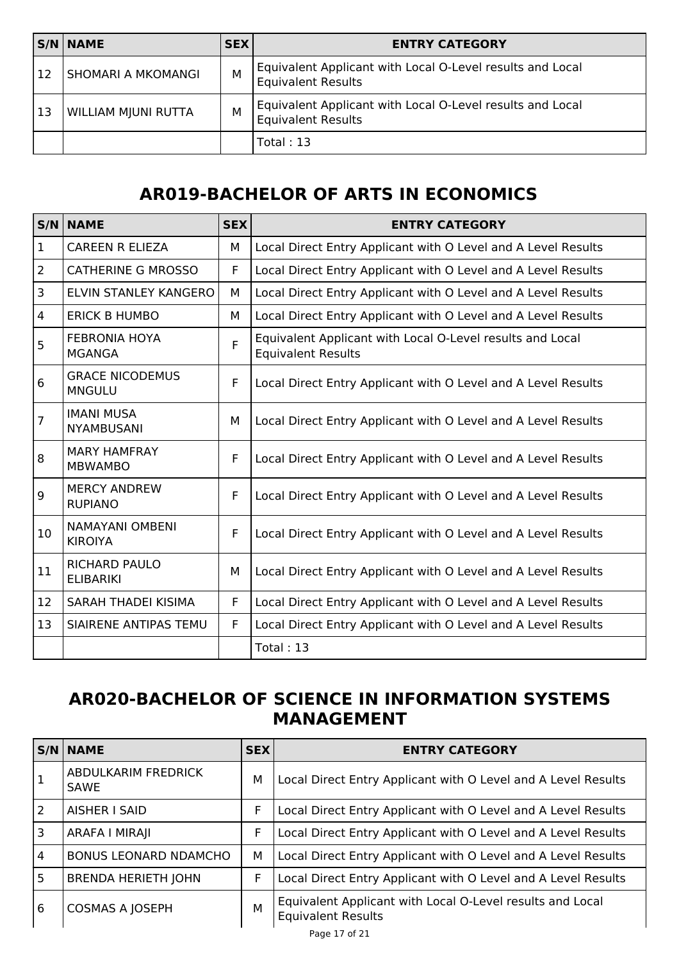|           | $S/N$ NAME                | <b>SEX</b> | <b>ENTRY CATEGORY</b>                                                                  |
|-----------|---------------------------|------------|----------------------------------------------------------------------------------------|
| <b>12</b> | <b>SHOMARI A MKOMANGI</b> | M          | Equivalent Applicant with Local O-Level results and Local<br><b>Equivalent Results</b> |
| 13        | WILLIAM MJUNI RUTTA       | M          | Equivalent Applicant with Local O-Level results and Local<br><b>Equivalent Results</b> |
|           |                           |            | Total: $13$                                                                            |

## **AR019-BACHELOR OF ARTS IN ECONOMICS**

|                | S/N NAME                                 | <b>SEX</b> | <b>ENTRY CATEGORY</b>                                                                  |
|----------------|------------------------------------------|------------|----------------------------------------------------------------------------------------|
| $\mathbf{1}$   | <b>CAREEN R ELIEZA</b>                   | М          | Local Direct Entry Applicant with O Level and A Level Results                          |
| $\overline{2}$ | <b>CATHERINE G MROSSO</b>                | F          | Local Direct Entry Applicant with O Level and A Level Results                          |
| 3              | <b>ELVIN STANLEY KANGERO</b>             | М          | Local Direct Entry Applicant with O Level and A Level Results                          |
| 4              | <b>ERICK B HUMBO</b>                     | М          | Local Direct Entry Applicant with O Level and A Level Results                          |
| 5              | <b>FEBRONIA HOYA</b><br><b>MGANGA</b>    | F          | Equivalent Applicant with Local O-Level results and Local<br><b>Equivalent Results</b> |
| 6              | <b>GRACE NICODEMUS</b><br><b>MNGULU</b>  | F          | Local Direct Entry Applicant with O Level and A Level Results                          |
| $\overline{7}$ | <b>IMANI MUSA</b><br><b>NYAMBUSANI</b>   | М          | Local Direct Entry Applicant with O Level and A Level Results                          |
| 8              | <b>MARY HAMFRAY</b><br><b>MBWAMBO</b>    | F          | Local Direct Entry Applicant with O Level and A Level Results                          |
| 9              | <b>MERCY ANDREW</b><br><b>RUPIANO</b>    | F          | Local Direct Entry Applicant with O Level and A Level Results                          |
| 10             | <b>NAMAYANI OMBENI</b><br><b>KIROIYA</b> | F          | Local Direct Entry Applicant with O Level and A Level Results                          |
| 11             | <b>RICHARD PAULO</b><br><b>ELIBARIKI</b> | М          | Local Direct Entry Applicant with O Level and A Level Results                          |
| 12             | SARAH THADEI KISIMA                      | F          | Local Direct Entry Applicant with O Level and A Level Results                          |
| 13             | SIAIRENE ANTIPAS TEMU                    | F          | Local Direct Entry Applicant with O Level and A Level Results                          |
|                |                                          |            | Total: 13                                                                              |

#### **AR020-BACHELOR OF SCIENCE IN INFORMATION SYSTEMS MANAGEMENT**

|                | $S/N$ NAME                                | <b>SEX</b> | <b>ENTRY CATEGORY</b>                                                                  |
|----------------|-------------------------------------------|------------|----------------------------------------------------------------------------------------|
|                | <b>ABDULKARIM FREDRICK</b><br><b>SAWE</b> | м          | Local Direct Entry Applicant with O Level and A Level Results                          |
| 2              | AISHER I SAID                             | F          | Local Direct Entry Applicant with O Level and A Level Results                          |
| 3              | ARAFA I MIRAJI                            | F          | Local Direct Entry Applicant with O Level and A Level Results                          |
| $\overline{4}$ | <b>BONUS LEONARD NDAMCHO</b>              | м          | Local Direct Entry Applicant with O Level and A Level Results                          |
| 5              | <b>BRENDA HERIETH JOHN</b>                | F          | Local Direct Entry Applicant with O Level and A Level Results                          |
| 6              | <b>COSMAS A JOSEPH</b>                    | M          | Equivalent Applicant with Local O-Level results and Local<br><b>Equivalent Results</b> |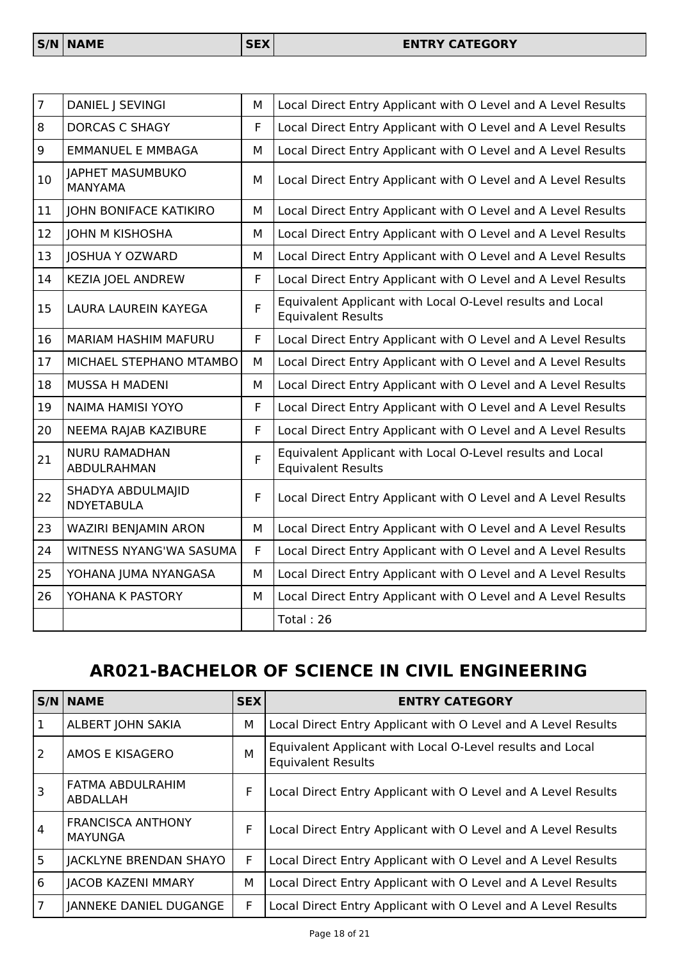| $\overline{7}$ | DANIEL   SEVINGI                       | M | Local Direct Entry Applicant with O Level and A Level Results                          |
|----------------|----------------------------------------|---|----------------------------------------------------------------------------------------|
| 8              | <b>DORCAS C SHAGY</b>                  | F | Local Direct Entry Applicant with O Level and A Level Results                          |
| 9              | <b>EMMANUEL E MMBAGA</b>               | M | Local Direct Entry Applicant with O Level and A Level Results                          |
| 10             | JAPHET MASUMBUKO<br><b>MANYAMA</b>     | M | Local Direct Entry Applicant with O Level and A Level Results                          |
| 11             | <b>JOHN BONIFACE KATIKIRO</b>          | М | Local Direct Entry Applicant with O Level and A Level Results                          |
| 12             | <b>JOHN M KISHOSHA</b>                 | M | Local Direct Entry Applicant with O Level and A Level Results                          |
| 13             | <b>JOSHUA Y OZWARD</b>                 | M | Local Direct Entry Applicant with O Level and A Level Results                          |
| 14             | <b>KEZIA JOEL ANDREW</b>               | F | Local Direct Entry Applicant with O Level and A Level Results                          |
| 15             | LAURA LAUREIN KAYEGA                   | F | Equivalent Applicant with Local O-Level results and Local<br><b>Equivalent Results</b> |
| 16             | <b>MARIAM HASHIM MAFURU</b>            | F | Local Direct Entry Applicant with O Level and A Level Results                          |
| 17             | MICHAEL STEPHANO MTAMBO                | M | Local Direct Entry Applicant with O Level and A Level Results                          |
| 18             | MUSSA H MADENI                         | M | Local Direct Entry Applicant with O Level and A Level Results                          |
| 19             | <b>NAIMA HAMISI YOYO</b>               | F | Local Direct Entry Applicant with O Level and A Level Results                          |
| 20             | NEEMA RAJAB KAZIBURE                   | F | Local Direct Entry Applicant with O Level and A Level Results                          |
| 21             | <b>NURU RAMADHAN</b><br>ABDULRAHMAN    | F | Equivalent Applicant with Local O-Level results and Local<br><b>Equivalent Results</b> |
| 22             | SHADYA ABDULMAJID<br><b>NDYETABULA</b> | F | Local Direct Entry Applicant with O Level and A Level Results                          |
| 23             | WAZIRI BENJAMIN ARON                   | M | Local Direct Entry Applicant with O Level and A Level Results                          |
| 24             | WITNESS NYANG'WA SASUMA                | F | Local Direct Entry Applicant with O Level and A Level Results                          |
| 25             | YOHANA JUMA NYANGASA                   | M | Local Direct Entry Applicant with O Level and A Level Results                          |
| 26             | YOHANA K PASTORY                       | M | Local Direct Entry Applicant with O Level and A Level Results                          |
|                |                                        |   | Total: 26                                                                              |

# **AR021-BACHELOR OF SCIENCE IN CIVIL ENGINEERING**

|                | <b>S/N NAME</b>                            | <b>SEX</b> | <b>ENTRY CATEGORY</b>                                                                  |
|----------------|--------------------------------------------|------------|----------------------------------------------------------------------------------------|
| 1              | ALBERT JOHN SAKIA                          | M          | Local Direct Entry Applicant with O Level and A Level Results                          |
| 2              | AMOS E KISAGERO                            | M          | Equivalent Applicant with Local O-Level results and Local<br><b>Equivalent Results</b> |
| 3              | FATMA ABDULRAHIM<br>ABDALLAH               | F          | Local Direct Entry Applicant with O Level and A Level Results                          |
| $\overline{4}$ | <b>FRANCISCA ANTHONY</b><br><b>MAYUNGA</b> | F          | Local Direct Entry Applicant with O Level and A Level Results                          |
| 5              | <b>JACKLYNE BRENDAN SHAYO</b>              | F          | Local Direct Entry Applicant with O Level and A Level Results                          |
| 6              | <b>JACOB KAZENI MMARY</b>                  | M          | Local Direct Entry Applicant with O Level and A Level Results                          |
| $\overline{7}$ | JANNEKE DANIEL DUGANGE                     | F          | Local Direct Entry Applicant with O Level and A Level Results                          |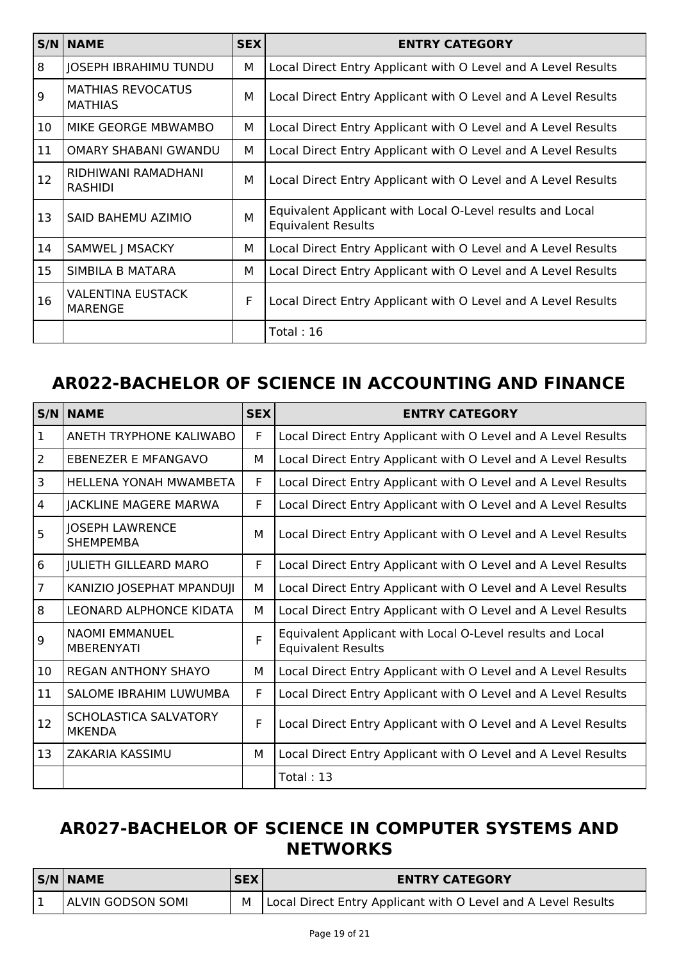| S/N | <b>NAME</b>                                | <b>SEX</b> | <b>ENTRY CATEGORY</b>                                                                  |
|-----|--------------------------------------------|------------|----------------------------------------------------------------------------------------|
| 8   | JOSEPH IBRAHIMU TUNDU                      | М          | Local Direct Entry Applicant with O Level and A Level Results                          |
| 9   | <b>MATHIAS REVOCATUS</b><br><b>MATHIAS</b> | М          | Local Direct Entry Applicant with O Level and A Level Results                          |
| 10  | MIKE GEORGE MBWAMBO                        | М          | Local Direct Entry Applicant with O Level and A Level Results                          |
| 11  | <b>OMARY SHABANI GWANDU</b>                | M          | Local Direct Entry Applicant with O Level and A Level Results                          |
| 12  | RIDHIWANI RAMADHANI<br><b>RASHIDI</b>      | M          | Local Direct Entry Applicant with O Level and A Level Results                          |
| 13  | SAID BAHEMU AZIMIO                         | M          | Equivalent Applicant with Local O-Level results and Local<br><b>Equivalent Results</b> |
| 14  | SAMWEL J MSACKY                            | М          | Local Direct Entry Applicant with O Level and A Level Results                          |
| 15  | SIMBILA B MATARA                           | м          | Local Direct Entry Applicant with O Level and A Level Results                          |
| 16  | <b>VALENTINA EUSTACK</b><br><b>MARENGE</b> | F          | Local Direct Entry Applicant with O Level and A Level Results                          |
|     |                                            |            | Total: $16$                                                                            |

#### **AR022-BACHELOR OF SCIENCE IN ACCOUNTING AND FINANCE**

| S/N            | <b>NAME</b>                                | <b>SEX</b> | <b>ENTRY CATEGORY</b>                                                                  |
|----------------|--------------------------------------------|------------|----------------------------------------------------------------------------------------|
| $\mathbf 1$    | ANETH TRYPHONE KALIWABO                    | F          | Local Direct Entry Applicant with O Level and A Level Results                          |
| $\overline{2}$ | EBENEZER E MFANGAVO                        | М          | Local Direct Entry Applicant with O Level and A Level Results                          |
| 3              | HELLENA YONAH MWAMBETA                     | F          | Local Direct Entry Applicant with O Level and A Level Results                          |
| 4              | <b>JACKLINE MAGERE MARWA</b>               | F          | Local Direct Entry Applicant with O Level and A Level Results                          |
| 5              | <b>JOSEPH LAWRENCE</b><br><b>SHEMPEMBA</b> | M          | Local Direct Entry Applicant with O Level and A Level Results                          |
| 6              | <b>JULIETH GILLEARD MARO</b>               | F          | Local Direct Entry Applicant with O Level and A Level Results                          |
| $\overline{7}$ | KANIZIO JOSEPHAT MPANDUJI                  | М          | Local Direct Entry Applicant with O Level and A Level Results                          |
| 8              | <b>LEONARD ALPHONCE KIDATA</b>             | М          | Local Direct Entry Applicant with O Level and A Level Results                          |
| 9              | <b>NAOMI EMMANUEL</b><br><b>MBERENYATI</b> | F          | Equivalent Applicant with Local O-Level results and Local<br><b>Equivalent Results</b> |
| 10             | <b>REGAN ANTHONY SHAYO</b>                 | м          | Local Direct Entry Applicant with O Level and A Level Results                          |
| 11             | SALOME IBRAHIM LUWUMBA                     | F          | Local Direct Entry Applicant with O Level and A Level Results                          |
| 12             | SCHOLASTICA SALVATORY<br><b>MKENDA</b>     | F          | Local Direct Entry Applicant with O Level and A Level Results                          |
| 13             | <b>ZAKARIA KASSIMU</b>                     | М          | Local Direct Entry Applicant with O Level and A Level Results                          |
|                |                                            |            | Total: $13$                                                                            |

#### **AR027-BACHELOR OF SCIENCE IN COMPUTER SYSTEMS AND NETWORKS**

| <b>S/N NAME</b>          | <b>SEX</b> | <b>ENTRY CATEGORY</b>                                             |
|--------------------------|------------|-------------------------------------------------------------------|
| <b>ALVIN GODSON SOMI</b> |            | M   Local Direct Entry Applicant with O Level and A Level Results |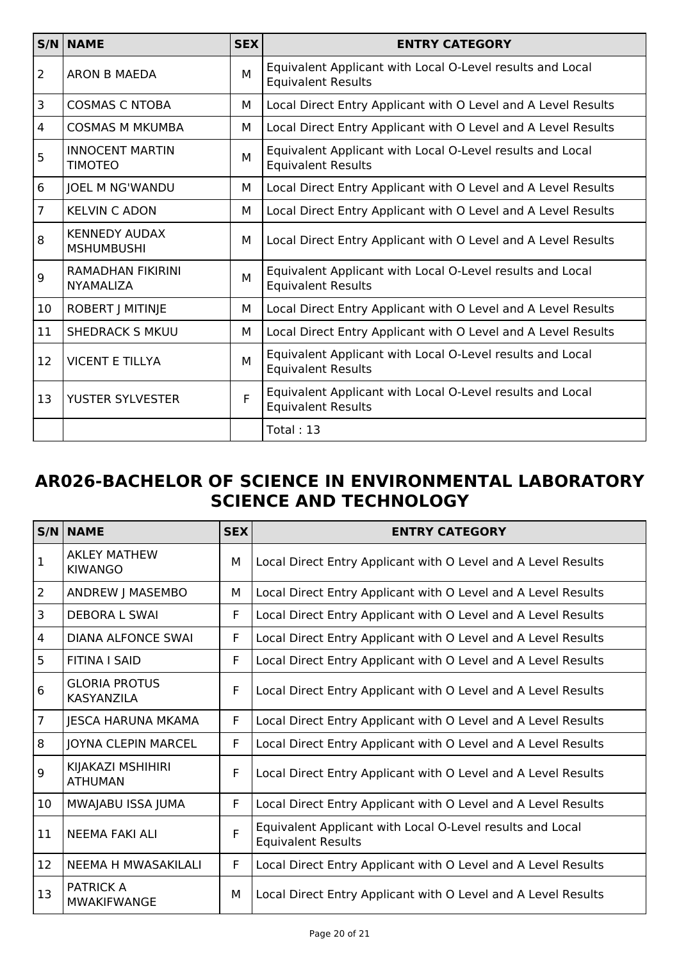|                | $S/N$ NAME                                   | <b>SEX</b> | <b>ENTRY CATEGORY</b>                                                                  |
|----------------|----------------------------------------------|------------|----------------------------------------------------------------------------------------|
| $\overline{2}$ | ARON B MAEDA                                 | M          | Equivalent Applicant with Local O-Level results and Local<br><b>Equivalent Results</b> |
| 3              | <b>COSMAS C NTOBA</b>                        | М          | Local Direct Entry Applicant with O Level and A Level Results                          |
| 4              | <b>COSMAS M MKUMBA</b>                       | М          | Local Direct Entry Applicant with O Level and A Level Results                          |
| 5              | <b>INNOCENT MARTIN</b><br><b>TIMOTEO</b>     | M          | Equivalent Applicant with Local O-Level results and Local<br><b>Equivalent Results</b> |
| 6              | JOEL M NG'WANDU                              | м          | Local Direct Entry Applicant with O Level and A Level Results                          |
| $\overline{7}$ | <b>KELVIN C ADON</b>                         | м          | Local Direct Entry Applicant with O Level and A Level Results                          |
| 8              | <b>KENNEDY AUDAX</b><br><b>MSHUMBUSHI</b>    | м          | Local Direct Entry Applicant with O Level and A Level Results                          |
| 9              | <b>RAMADHAN FIKIRINI</b><br><b>NYAMALIZA</b> | M          | Equivalent Applicant with Local O-Level results and Local<br><b>Equivalent Results</b> |
| 10             | <b>ROBERT J MITINJE</b>                      | м          | Local Direct Entry Applicant with O Level and A Level Results                          |
| 11             | <b>SHEDRACK S MKUU</b>                       | м          | Local Direct Entry Applicant with O Level and A Level Results                          |
| 12             | <b>VICENT E TILLYA</b>                       | M          | Equivalent Applicant with Local O-Level results and Local<br><b>Equivalent Results</b> |
| 13             | YUSTER SYLVESTER                             | F          | Equivalent Applicant with Local O-Level results and Local<br><b>Equivalent Results</b> |
|                |                                              |            | Total: 13                                                                              |

#### **AR026-BACHELOR OF SCIENCE IN ENVIRONMENTAL LABORATORY SCIENCE AND TECHNOLOGY**

|                | <b>S/N NAME</b>                           | <b>SEX</b> | <b>ENTRY CATEGORY</b>                                                                  |
|----------------|-------------------------------------------|------------|----------------------------------------------------------------------------------------|
| $\mathbf{1}$   | <b>AKLEY MATHEW</b><br><b>KIWANGO</b>     | М          | Local Direct Entry Applicant with O Level and A Level Results                          |
| $\overline{2}$ | ANDREW J MASEMBO                          | М          | Local Direct Entry Applicant with O Level and A Level Results                          |
| 3              | <b>DEBORA L SWAI</b>                      | F.         | Local Direct Entry Applicant with O Level and A Level Results                          |
| $\overline{4}$ | <b>DIANA ALFONCE SWAI</b>                 | F          | Local Direct Entry Applicant with O Level and A Level Results                          |
| 5              | <b>FITINA I SAID</b>                      | F          | Local Direct Entry Applicant with O Level and A Level Results                          |
| 6              | <b>GLORIA PROTUS</b><br><b>KASYANZILA</b> | F          | Local Direct Entry Applicant with O Level and A Level Results                          |
| $\overline{7}$ | <b>JESCA HARUNA MKAMA</b>                 | F          | Local Direct Entry Applicant with O Level and A Level Results                          |
| 8              | JOYNA CLEPIN MARCEL                       | F          | Local Direct Entry Applicant with O Level and A Level Results                          |
| 9              | KIJAKAZI MSHIHIRI<br><b>ATHUMAN</b>       | F          | Local Direct Entry Applicant with O Level and A Level Results                          |
| 10             | MWAJABU ISSA JUMA                         | F          | Local Direct Entry Applicant with O Level and A Level Results                          |
| 11             | NEEMA FAKI ALI                            | F          | Equivalent Applicant with Local O-Level results and Local<br><b>Equivalent Results</b> |
| 12             | NEEMA H MWASAKILALI                       | F.         | Local Direct Entry Applicant with O Level and A Level Results                          |
| 13             | <b>PATRICK A</b><br><b>MWAKIFWANGE</b>    | М          | Local Direct Entry Applicant with O Level and A Level Results                          |